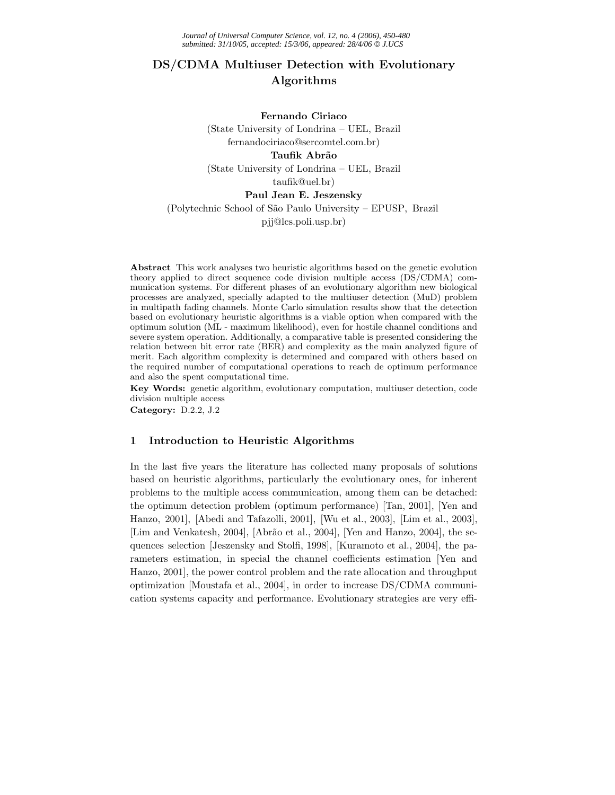# **DS/CDMA Multiuser Detection with Evolutionary Algorithms**

#### **Fernando Ciriaco**

(State University of Londrina – UEL, Brazil fernandociriaco@sercomtel.com.br)

#### **Taufik Abr˜ao**

(State University of Londrina – UEL, Brazil taufik@uel.br)

#### **Paul Jean E. Jeszensky**

(Polytechnic School of S˜ao Paulo University – EPUSP, Brazil

pjj@lcs.poli.usp.br)

**Abstract** This work analyses two heuristic algorithms based on the genetic evolution theory applied to direct sequence code division multiple access (DS/CDMA) communication systems. For different phases of an evolutionary algorithm new biological processes are analyzed, specially adapted to the multiuser detection (MuD) problem in multipath fading channels. Monte Carlo simulation results show that the detection based on evolutionary heuristic algorithms is a viable option when compared with the optimum solution (ML - maximum likelihood), even for hostile channel conditions and severe system operation. Additionally, a comparative table is presented considering the relation between bit error rate (BER) and complexity as the main analyzed figure of merit. Each algorithm complexity is determined and compared with others based on the required number of computational operations to reach de optimum performance and also the spent computational time.

**Key Words:** genetic algorithm, evolutionary computation, multiuser detection, code division multiple access

**Category:** D.2.2, J.2

# **1 Introduction to Heuristic Algorithms**

In the last five years the literature has collected many proposals of solutions based on heuristic algorithms, particularly the evolutionary ones, for inherent problems to the multiple access communication, among them can be detached: the optimum detection problem (optimum performance) [Tan, 2001], [Yen and Hanzo, 2001], [Abedi and Tafazolli, 2001], [Wu et al., 2003], [Lim et al., 2003], [Lim and Venkatesh, 2004], [Abrão et al., 2004], [Yen and Hanzo, 2004], the sequences selection [Jeszensky and Stolfi, 1998], [Kuramoto et al., 2004], the parameters estimation, in special the channel coefficients estimation [Yen and Hanzo, 2001], the power control problem and the rate allocation and throughput optimization [Moustafa et al., 2004], in order to increase DS/CDMA communication systems capacity and performance. Evolutionary strategies are very effi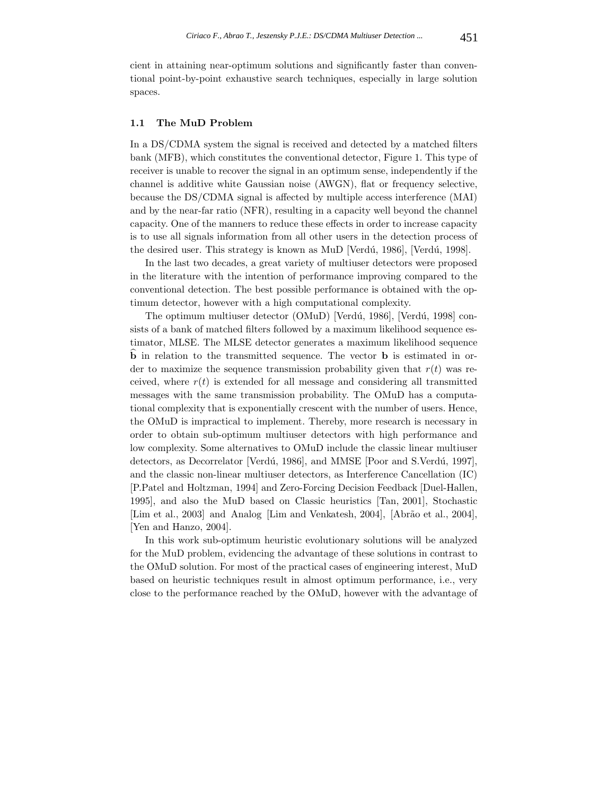cient in attaining near-optimum solutions and significantly faster than conventional point-by-point exhaustive search techniques, especially in large solution spaces.

### **1.1 The MuD Problem**

In a DS/CDMA system the signal is received and detected by a matched filters bank (MFB), which constitutes the conventional detector, Figure 1. This type of receiver is unable to recover the signal in an optimum sense, independently if the channel is additive white Gaussian noise (AWGN), flat or frequency selective, because the DS/CDMA signal is affected by multiple access interference (MAI) and by the near-far ratio (NFR), resulting in a capacity well beyond the channel capacity. One of the manners to reduce these effects in order to increase capacity is to use all signals information from all other users in the detection process of the desired user. This strategy is known as MuD [Verdú, 1986], [Verdú, 1998].

In the last two decades, a great variety of multiuser detectors were proposed in the literature with the intention of performance improving compared to the conventional detection. The best possible performance is obtained with the optimum detector, however with a high computational complexity.

The optimum multiuser detector (OMuD) [Verdú, 1986], [Verdú, 1998] consists of a bank of matched filters followed by a maximum likelihood sequence estimator, MLSE. The MLSE detector generates a maximum likelihood sequence **b** in relation to the transmitted sequence. The vector **b** is estimated in order to maximize the sequence transmission probability given that  $r(t)$  was received, where  $r(t)$  is extended for all message and considering all transmitted messages with the same transmission probability. The OMuD has a computational complexity that is exponentially crescent with the number of users. Hence, the OMuD is impractical to implement. Thereby, more research is necessary in order to obtain sub-optimum multiuser detectors with high performance and low complexity. Some alternatives to OMuD include the classic linear multiuser detectors, as Decorrelator [Verdú, 1986], and MMSE [Poor and S.Verdú, 1997], and the classic non-linear multiuser detectors, as Interference Cancellation (IC) [P.Patel and Holtzman, 1994] and Zero-Forcing Decision Feedback [Duel-Hallen, 1995], and also the MuD based on Classic heuristics [Tan, 2001], Stochastic [Lim et al., 2003] and Analog [Lim and Venkatesh, 2004], [Abrão et al., 2004], [Yen and Hanzo, 2004].

In this work sub-optimum heuristic evolutionary solutions will be analyzed for the MuD problem, evidencing the advantage of these solutions in contrast to the OMuD solution. For most of the practical cases of engineering interest, MuD based on heuristic techniques result in almost optimum performance, i.e., very close to the performance reached by the OMuD, however with the advantage of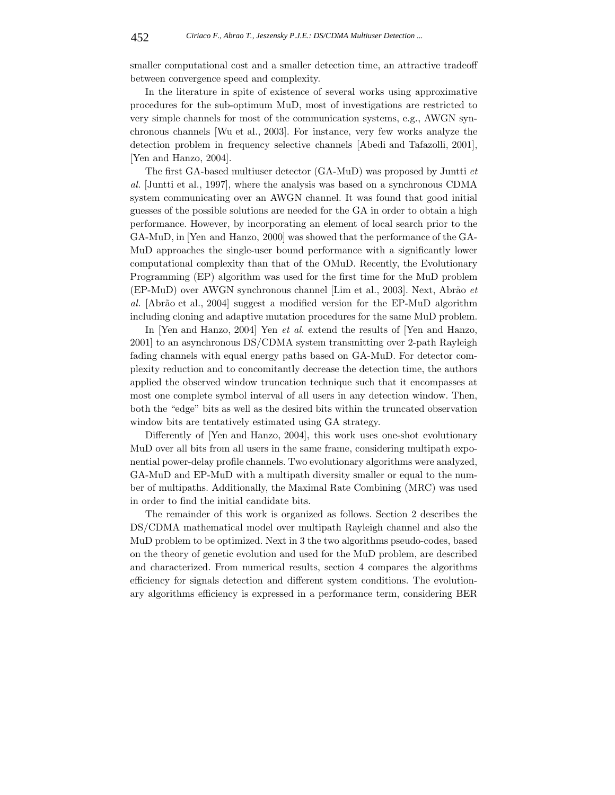smaller computational cost and a smaller detection time, an attractive tradeoff between convergence speed and complexity.

In the literature in spite of existence of several works using approximative procedures for the sub-optimum MuD, most of investigations are restricted to very simple channels for most of the communication systems, e.g., AWGN synchronous channels [Wu et al., 2003]. For instance, very few works analyze the detection problem in frequency selective channels [Abedi and Tafazolli, 2001], [Yen and Hanzo, 2004].

The first GA-based multiuser detector (GA-MuD) was proposed by Juntti *et al.* [Juntti et al., 1997], where the analysis was based on a synchronous CDMA system communicating over an AWGN channel. It was found that good initial guesses of the possible solutions are needed for the GA in order to obtain a high performance. However, by incorporating an element of local search prior to the GA-MuD, in [Yen and Hanzo, 2000] was showed that the performance of the GA-MuD approaches the single-user bound performance with a significantly lower computational complexity than that of the OMuD. Recently, the Evolutionary Programming (EP) algorithm was used for the first time for the MuD problem (EP-MuD) over AWGN synchronous channel [Lim et al., 2003]. Next, Abr˜ao *et* al. [Abrão et al., 2004] suggest a modified version for the EP-MuD algorithm including cloning and adaptive mutation procedures for the same MuD problem.

In [Yen and Hanzo, 2004] Yen *et al.* extend the results of [Yen and Hanzo, 2001] to an asynchronous DS/CDMA system transmitting over 2-path Rayleigh fading channels with equal energy paths based on GA-MuD. For detector complexity reduction and to concomitantly decrease the detection time, the authors applied the observed window truncation technique such that it encompasses at most one complete symbol interval of all users in any detection window. Then, both the "edge" bits as well as the desired bits within the truncated observation window bits are tentatively estimated using GA strategy.

Differently of [Yen and Hanzo, 2004], this work uses one-shot evolutionary MuD over all bits from all users in the same frame, considering multipath exponential power-delay profile channels. Two evolutionary algorithms were analyzed, GA-MuD and EP-MuD with a multipath diversity smaller or equal to the number of multipaths. Additionally, the Maximal Rate Combining (MRC) was used in order to find the initial candidate bits.

The remainder of this work is organized as follows. Section 2 describes the DS/CDMA mathematical model over multipath Rayleigh channel and also the MuD problem to be optimized. Next in 3 the two algorithms pseudo-codes, based on the theory of genetic evolution and used for the MuD problem, are described and characterized. From numerical results, section 4 compares the algorithms efficiency for signals detection and different system conditions. The evolutionary algorithms efficiency is expressed in a performance term, considering BER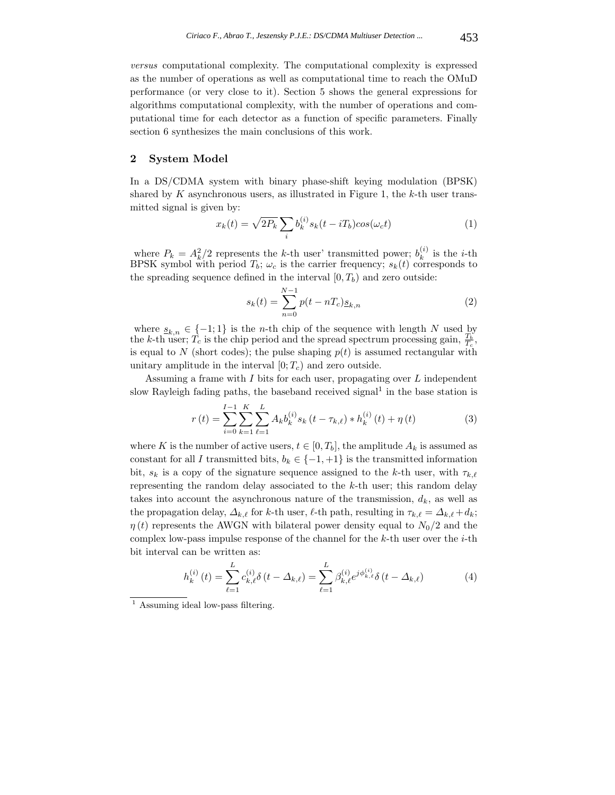*versus* computational complexity. The computational complexity is expressed as the number of operations as well as computational time to reach the OMuD performance (or very close to it). Section 5 shows the general expressions for algorithms computational complexity, with the number of operations and computational time for each detector as a function of specific parameters. Finally section 6 synthesizes the main conclusions of this work.

## **2 System Model**

In a DS/CDMA system with binary phase-shift keying modulation (BPSK) shared by K asynchronous users, as illustrated in Figure 1, the  $k$ -th user transmitted signal is given by:

$$
x_k(t) = \sqrt{2P_k} \sum_i b_k^{(i)} s_k(t - iT_b) \cos(\omega_c t)
$$
 (1)

where  $P_k = A_k^2/2$  represents the k-th user' transmitted power;  $b_k^{(i)}$  is the *i*-th BPSK symbol with period  $T_b$ ;  $\omega_c$  is the carrier frequency;  $s_k(t)$  corresponds to the spreading sequence defined in the interval  $[0, T_b)$  and zero outside:

$$
s_k(t) = \sum_{n=0}^{N-1} p(t - nT_c) \underline{s}_{k,n}
$$
 (2)

where  $s_{k,n} \in \{-1,1\}$  is the *n*-th chip of the sequence with length N used by the k-th user;  $\hat{T_c}$  is the chip period and the spread spectrum processing gain,  $\frac{T_b}{T_c}$ , is equal to N (short codes); the pulse shaping  $p(t)$  is assumed rectangular with unitary amplitude in the interval  $[0; T_c)$  and zero outside.

Assuming a frame with I bits for each user, propagating over  $L$  independent slow Rayleigh fading paths, the baseband received signal<sup>1</sup> in the base station is

$$
r(t) = \sum_{i=0}^{I-1} \sum_{k=1}^{K} \sum_{\ell=1}^{L} A_k b_k^{(i)} s_k (t - \tau_{k,\ell}) * h_k^{(i)}(t) + \eta(t)
$$
(3)

where K is the number of active users,  $t \in [0, T_b]$ , the amplitude  $A_k$  is assumed as constant for all I transmitted bits,  $b_k \in \{-1, +1\}$  is the transmitted information bit,  $s_k$  is a copy of the signature sequence assigned to the k-th user, with  $\tau_{k,\ell}$ representing the random delay associated to the  $k$ -th user; this random delay takes into account the asynchronous nature of the transmission,  $d_k$ , as well as the propagation delay,  $\Delta_{k,\ell}$  for k-th user,  $\ell$ -th path, resulting in  $\tau_{k,\ell} = \Delta_{k,\ell} + d_k$ ;  $\eta(t)$  represents the AWGN with bilateral power density equal to  $N_0/2$  and the complex low-pass impulse response of the channel for the  $k$ -th user over the  $i$ -th bit interval can be written as:

$$
h_k^{(i)}(t) = \sum_{\ell=1}^L c_{k,\ell}^{(i)} \delta(t - \Delta_{k,\ell}) = \sum_{\ell=1}^L \beta_{k,\ell}^{(i)} e^{j\phi_{k,\ell}^{(i)}} \delta(t - \Delta_{k,\ell})
$$
(4)

<sup>&</sup>lt;sup>1</sup> Assuming ideal low-pass filtering.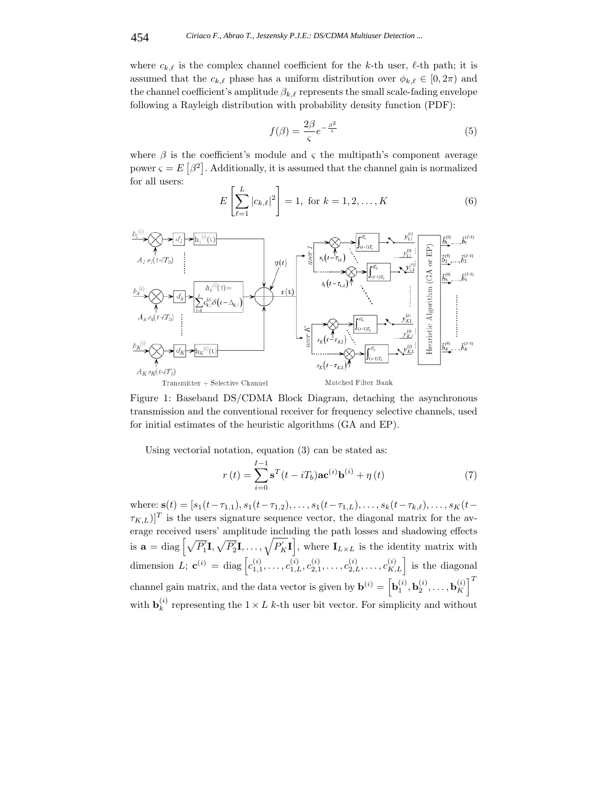where  $c_{k,\ell}$  is the complex channel coefficient for the k-th user,  $\ell$ -th path; it is assumed that the  $c_{k,\ell}$  phase has a uniform distribution over  $\phi_{k,\ell} \in [0, 2\pi)$  and the channel coefficient's amplitude  $\beta_{k,\ell}$  represents the small scale-fading envelope following a Rayleigh distribution with probability density function (PDF):

$$
f(\beta) = \frac{2\beta}{\varsigma}e^{-\frac{\beta^2}{\varsigma}}\tag{5}
$$

where  $\beta$  is the coefficient's module and  $\zeta$  the multipath's component average power  $\varsigma = E\left[\beta^2\right]$ . Additionally, it is assumed that the channel gain is normalized for all users:

$$
E\left[\sum_{\ell=1}^{L} |c_{k,\ell}|^2\right] = 1, \text{ for } k = 1, 2, \dots, K
$$
 (6)



Figure 1: Baseband DS/CDMA Block Diagram, detaching the asynchronous transmission and the conventional receiver for frequency selective channels, used for initial estimates of the heuristic algorithms (GA and EP).

Using vectorial notation, equation (3) can be stated as:

$$
r(t) = \sum_{i=0}^{I-1} \mathbf{s}^{T}(t - iT_b)\mathbf{a} \mathbf{c}^{(i)} \mathbf{b}^{(i)} + \eta(t)
$$
\n
$$
(7)
$$

where: **s**(t) = [s<sub>1</sub>(t- $\tau_{1,1}$ ), s<sub>1</sub>(t- $\tau_{1,2}$ ),...,s<sub>1</sub>(t- $\tau_{1,L}$ ),...,s<sub>k</sub>(t- $\tau_{k,\ell}$ ),...,s<sub>K</sub>(t- $\tau_{K,L}$ ]<sup>T</sup> is the users signature sequence vector, the diagonal matrix for the average received users' amplitude including the path losses and shadowing effects is  $\mathbf{a} = \text{diag}\left[\sqrt{P_1'}\mathbf{I}, \sqrt{P_2'}\mathbf{I}, \dots, \sqrt{P_K'}\mathbf{I}\right]$ , where  $\mathbf{I}_{L \times L}$  is the identity matrix with dimension L;  $\mathbf{c}^{(i)} = \text{diag}\left[c_{1,1}^{(i)}, \ldots, c_{1,L}^{(i)}, c_{2,1}^{(i)}, \ldots, c_{2,L}^{(i)}, \ldots, c_{K,L}^{(i)}\right]$  is the diagonal channel gain matrix, and the data vector is given by  $\mathbf{b}^{(i)} = \left[ \mathbf{b}_1^{(i)}, \mathbf{b}_2^{(i)}, \ldots, \mathbf{b}_K^{(i)} \right]^T$ with  $\mathbf{b}_k^{(i)}$  representing the  $1 \times L$  k-th user bit vector. For simplicity and without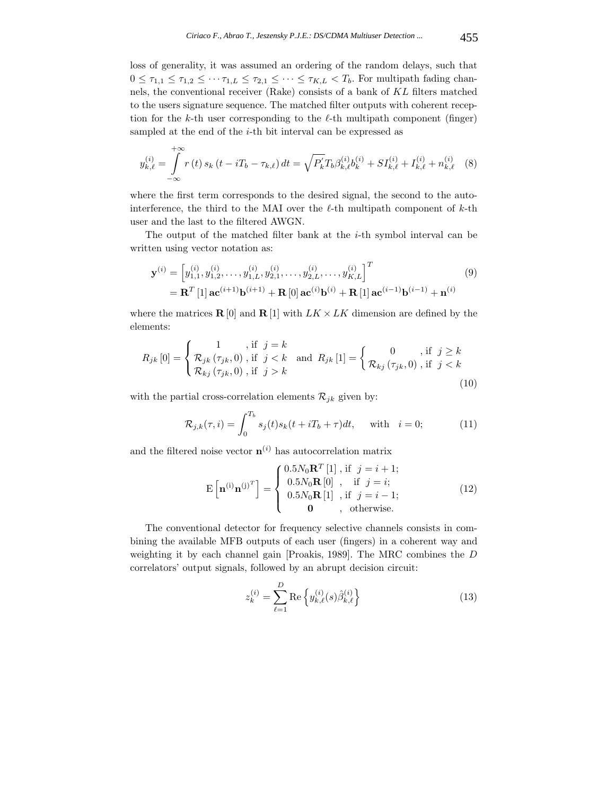loss of generality, it was assumed an ordering of the random delays, such that  $0 \leq \tau_{1,1} \leq \tau_{1,2} \leq \cdots \tau_{1,L} \leq \tau_{2,1} \leq \cdots \leq \tau_{K,L} < T_b$ . For multipath fading channels, the conventional receiver (Rake) consists of a bank of KL filters matched to the users signature sequence. The matched filter outputs with coherent reception for the k-th user corresponding to the  $\ell$ -th multipath component (finger) sampled at the end of the *i*-th bit interval can be expressed as

$$
y_{k,\ell}^{(i)} = \int_{-\infty}^{+\infty} r(t) s_k(t - iT_b - \tau_{k,\ell}) dt = \sqrt{P'_k} T_b \beta_{k,\ell}^{(i)} b_k^{(i)} + S I_{k,\ell}^{(i)} + I_{k,\ell}^{(i)} + n_{k,\ell}^{(i)} \tag{8}
$$

where the first term corresponds to the desired signal, the second to the autointerference, the third to the MAI over the  $\ell$ -th multipath component of  $k$ -th user and the last to the filtered AWGN.

The output of the matched filter bank at the  $i$ -th symbol interval can be written using vector notation as:

$$
\mathbf{y}^{(i)} = \begin{bmatrix} y_{1,1}^{(i)}, y_{1,2}^{(i)}, \dots, y_{1,L}^{(i)}, y_{2,1}^{(i)}, \dots, y_{2,L}^{(i)}, \dots, y_{K,L}^{(i)} \end{bmatrix}^T
$$
  
=  $\mathbf{R}^T$  [1]  $\mathbf{a} \mathbf{c}^{(i+1)} \mathbf{b}^{(i+1)} + \mathbf{R}$  [0]  $\mathbf{a} \mathbf{c}^{(i)} \mathbf{b}^{(i)} + \mathbf{R}$  [1]  $\mathbf{a} \mathbf{c}^{(i-1)} \mathbf{b}^{(i-1)} + \mathbf{n}^{(i)}$  (9)

where the matrices **R** [0] and **R** [1] with  $LK \times LK$  dimension are defined by the elements:

$$
R_{jk}[0] = \begin{cases} 1, & \text{if } j = k \\ \mathcal{R}_{jk}(\tau_{jk}, 0), & \text{if } j < k \\ \mathcal{R}_{kj}(\tau_{jk}, 0), & \text{if } j > k \end{cases} \text{ and } R_{jk}[1] = \begin{cases} 0, & \text{if } j \ge k \\ \mathcal{R}_{kj}(\tau_{jk}, 0), & \text{if } j < k \end{cases}
$$
(10)

with the partial cross-correlation elements  $\mathcal{R}_{jk}$  given by:

$$
\mathcal{R}_{j,k}(\tau,i) = \int_0^{T_b} s_j(t)s_k(t+iT_b+\tau)dt, \quad \text{with} \quad i=0;
$$
\n(11)

and the filtered noise vector  $\mathbf{n}^{(i)}$  has autocorrelation matrix

$$
\mathbf{E}\left[\mathbf{n}^{(i)}\mathbf{n}^{(j)^{T}}\right] = \begin{cases} 0.5N_{0}\mathbf{R}^{T}\left[1\right], \text{ if } j = i+1; \\ 0.5N_{0}\mathbf{R}\left[0\right], \text{ if } j = i; \\ 0.5N_{0}\mathbf{R}\left[1\right], \text{ if } j = i-1; \\ \mathbf{0}, \text{ otherwise.} \end{cases}
$$
(12)

The conventional detector for frequency selective channels consists in combining the available MFB outputs of each user (fingers) in a coherent way and weighting it by each channel gain [Proakis, 1989]. The MRC combines the D correlators' output signals, followed by an abrupt decision circuit:

$$
z_k^{(i)} = \sum_{\ell=1}^{D} \text{Re}\left\{ y_{k,\ell}^{(i)}(s)\hat{\beta}_{k,\ell}^{(i)} \right\} \tag{13}
$$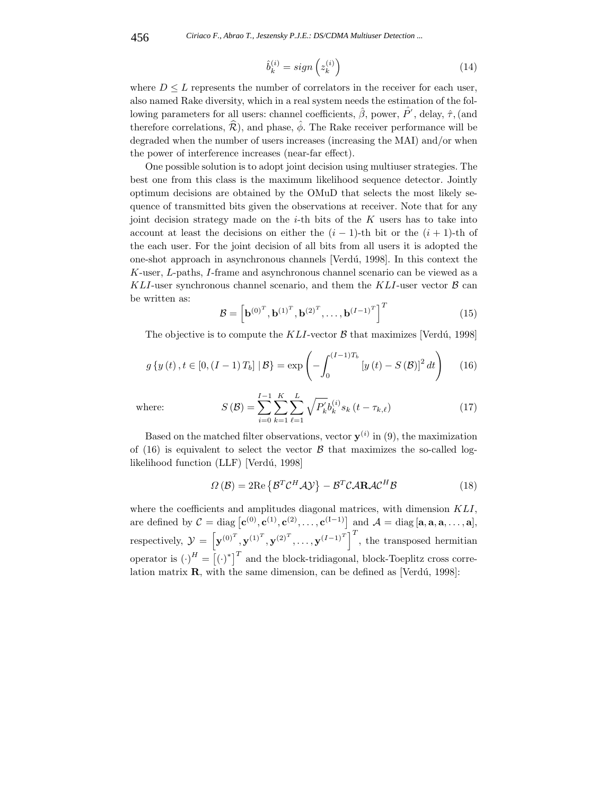$$
\hat{b}_k^{(i)} = sign\left(z_k^{(i)}\right) \tag{14}
$$

where  $D \leq L$  represents the number of correlators in the receiver for each user, also named Rake diversity, which in a real system needs the estimation of the following parameters for all users: channel coefficients,  $\hat{\beta}$ , power,  $\hat{P}'$ , delay,  $\hat{\tau}$ , (and therefore correlations,  $\hat{\mathcal{R}}$ ), and phase,  $\hat{\phi}$ . The Rake receiver performance will be degraded when the number of users increases (increasing the MAI) and/or when the power of interference increases (near-far effect).

One possible solution is to adopt joint decision using multiuser strategies. The best one from this class is the maximum likelihood sequence detector. Jointly optimum decisions are obtained by the OMuD that selects the most likely sequence of transmitted bits given the observations at receiver. Note that for any joint decision strategy made on the  $i$ -th bits of the  $K$  users has to take into account at least the decisions on either the  $(i - 1)$ -th bit or the  $(i + 1)$ -th of the each user. For the joint decision of all bits from all users it is adopted the one-shot approach in asynchronous channels [Verd´u, 1998]. In this context the K-user, L-paths, I-frame and asynchronous channel scenario can be viewed as a KLI-user synchronous channel scenario, and them the KLI-user vector  $\beta$  can be written as:

$$
\mathcal{B} = \left[ \mathbf{b}^{(0)^T}, \mathbf{b}^{(1)^T}, \mathbf{b}^{(2)^T}, \dots, \mathbf{b}^{(I-1)^T} \right]^T
$$
 (15)

The objective is to compute the KLI-vector  $\beta$  that maximizes [Verdú, 1998]

$$
g\{y(t), t \in [0, (I-1)T_b] \,|\, \mathcal{B}\} = \exp\left(-\int_0^{(I-1)T_b} \left[y(t) - S(\mathcal{B})\right]^2 dt\right) \tag{16}
$$

where:

$$
S\left(\mathcal{B}\right) = \sum_{i=0}^{I-1} \sum_{k=1}^{K} \sum_{\ell=1}^{L} \sqrt{P_k'} b_k^{(i)} s_k \left(t - \tau_{k,\ell}\right) \tag{17}
$$

Based on the matched filter observations, vector  $\mathbf{y}^{(i)}$  in (9), the maximization of (16) is equivalent to select the vector  $\beta$  that maximizes the so-called loglikelihood function (LLF) [Verdú, 1998]

$$
\Omega\left(\mathcal{B}\right) = 2\mathrm{Re}\left\{\mathcal{B}^{T}\mathcal{C}^{H}\mathcal{A}\mathcal{Y}\right\} - \mathcal{B}^{T}\mathcal{C}\mathcal{A}\mathbf{R}\mathcal{A}\mathcal{C}^{H}\mathcal{B}
$$
\n(18)

where the coefficients and amplitudes diagonal matrices, with dimension  $KLI$ , are defined by  $C = \text{diag} [\mathbf{c}^{(0)}, \mathbf{c}^{(1)}, \mathbf{c}^{(2)}, \dots, \mathbf{c}^{(I-1)}]$  and  $\mathcal{A} = \text{diag} [\mathbf{a}, \mathbf{a}, \mathbf{a}, \dots, \mathbf{a}],$ respectively,  $\mathcal{Y} = \left[ \mathbf{y}^{(0)^T}, \mathbf{y}^{(1)^T}, \mathbf{y}^{(2)^T}, \dots, \mathbf{y}^{(I-1)^T} \right]^T$ , the transposed hermitian operator is  $(\cdot)^H = [(\cdot)^*]^T$  and the block-tridiagonal, block-Toeplitz cross correlation matrix  $\mathbf{R}$ , with the same dimension, can be defined as [Verdú, 1998]: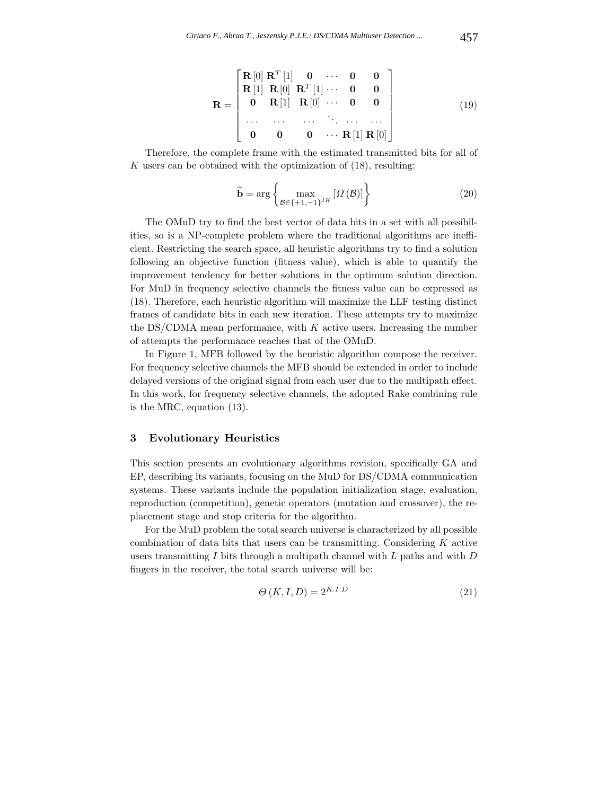$$
\mathbf{R} = \begin{bmatrix} \mathbf{R}[0] & \mathbf{R}^T[1] & \mathbf{0} & \cdots & \mathbf{0} & \mathbf{0} \\ \mathbf{R}[1] & \mathbf{R}[0] & \mathbf{R}^T[1] & \cdots & \mathbf{0} & \mathbf{0} \\ \mathbf{0} & \mathbf{R}[1] & \mathbf{R}[0] & \cdots & \mathbf{0} & \mathbf{0} \\ \cdots & \cdots & \cdots & \ddots & \cdots & \cdots \\ \mathbf{0} & \mathbf{0} & \mathbf{0} & \cdots & \mathbf{R}[1] & \mathbf{R}[0] \end{bmatrix}
$$
(19)

Therefore, the complete frame with the estimated transmitted bits for all of K users can be obtained with the optimization of  $(18)$ , resulting:

$$
\widehat{\mathbf{b}} = \arg \left\{ \max_{\mathcal{B} \in \{+1, -1\}^{IK}} \left[ \Omega \left( \mathcal{B} \right) \right] \right\} \tag{20}
$$

The OMuD try to find the best vector of data bits in a set with all possibilities, so is a NP-complete problem where the traditional algorithms are inefficient. Restricting the search space, all heuristic algorithms try to find a solution following an objective function (fitness value), which is able to quantify the improvement tendency for better solutions in the optimum solution direction. For MuD in frequency selective channels the fitness value can be expressed as (18). Therefore, each heuristic algorithm will maximize the LLF testing distinct frames of candidate bits in each new iteration. These attempts try to maximize the DS/CDMA mean performance, with  $K$  active users. Increasing the number of attempts the performance reaches that of the OMuD.

In Figure 1, MFB followed by the heuristic algorithm compose the receiver. For frequency selective channels the MFB should be extended in order to include delayed versions of the original signal from each user due to the multipath effect. In this work, for frequency selective channels, the adopted Rake combining rule is the MRC, equation (13).

#### **3 Evolutionary Heuristics**

This section presents an evolutionary algorithms revision, specifically GA and EP, describing its variants, focusing on the MuD for DS/CDMA communication systems. These variants include the population initialization stage, evaluation, reproduction (competition), genetic operators (mutation and crossover), the replacement stage and stop criteria for the algorithm.

For the MuD problem the total search universe is characterized by all possible combination of data bits that users can be transmitting. Considering  $K$  active users transmitting I bits through a multipath channel with  $L$  paths and with  $D$ fingers in the receiver, the total search universe will be:

$$
\Theta(K, I, D) = 2^{K. I. D} \tag{21}
$$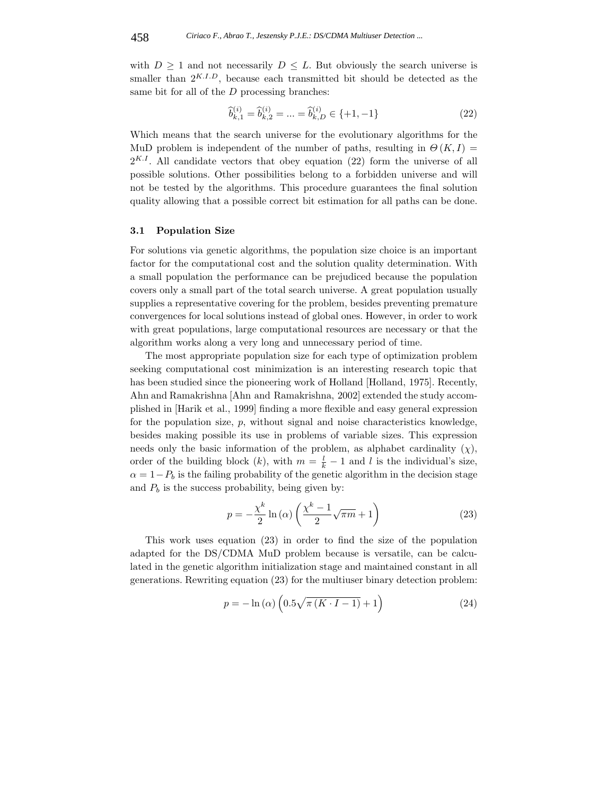with  $D \geq 1$  and not necessarily  $D \leq L$ . But obviously the search universe is smaller than  $2^{K,I,D}$ , because each transmitted bit should be detected as the same bit for all of the D processing branches:

$$
\widehat{b}_{k,1}^{(i)} = \widehat{b}_{k,2}^{(i)} = \dots = \widehat{b}_{k,D}^{(i)} \in \{+1, -1\}
$$
\n(22)

Which means that the search universe for the evolutionary algorithms for the MuD problem is independent of the number of paths, resulting in  $\Theta(K,I)$  $2^{K,I}$ . All candidate vectors that obey equation (22) form the universe of all possible solutions. Other possibilities belong to a forbidden universe and will not be tested by the algorithms. This procedure guarantees the final solution quality allowing that a possible correct bit estimation for all paths can be done.

### **3.1 Population Size**

For solutions via genetic algorithms, the population size choice is an important factor for the computational cost and the solution quality determination. With a small population the performance can be prejudiced because the population covers only a small part of the total search universe. A great population usually supplies a representative covering for the problem, besides preventing premature convergences for local solutions instead of global ones. However, in order to work with great populations, large computational resources are necessary or that the algorithm works along a very long and unnecessary period of time.

The most appropriate population size for each type of optimization problem seeking computational cost minimization is an interesting research topic that has been studied since the pioneering work of Holland [Holland, 1975]. Recently, Ahn and Ramakrishna [Ahn and Ramakrishna, 2002] extended the study accomplished in [Harik et al., 1999] finding a more flexible and easy general expression for the population size, p, without signal and noise characteristics knowledge, besides making possible its use in problems of variable sizes. This expression needs only the basic information of the problem, as alphabet cardinality  $(\chi)$ , order of the building block  $(k)$ , with  $m = \frac{l}{k} - 1$  and l is the individual's size,  $\alpha = 1-P_b$  is the failing probability of the genetic algorithm in the decision stage and  $P_b$  is the success probability, being given by:

$$
p = -\frac{\chi^k}{2} \ln \left( \alpha \right) \left( \frac{\chi^k - 1}{2} \sqrt{\pi m} + 1 \right) \tag{23}
$$

This work uses equation (23) in order to find the size of the population adapted for the DS/CDMA MuD problem because is versatile, can be calculated in the genetic algorithm initialization stage and maintained constant in all generations. Rewriting equation (23) for the multiuser binary detection problem:

$$
p = -\ln\left(\alpha\right) \left(0.5\sqrt{\pi\left(K\cdot I - 1\right)} + 1\right) \tag{24}
$$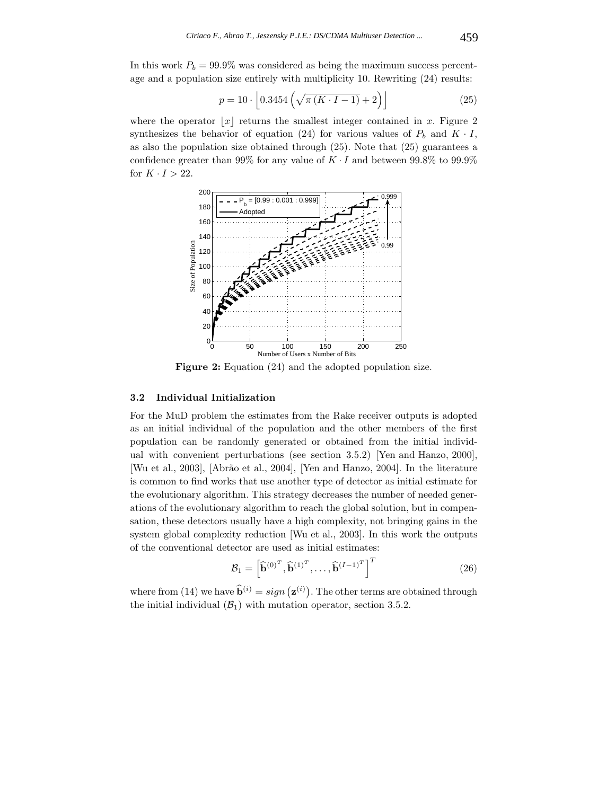In this work  $P_b = 99.9\%$  was considered as being the maximum success percentage and a population size entirely with multiplicity 10. Rewriting (24) results:

$$
p = 10 \cdot \left[ 0.3454 \left( \sqrt{\pi (K \cdot I - 1)} + 2 \right) \right]
$$
 (25)

where the operator  $|x|$  returns the smallest integer contained in x. Figure 2 synthesizes the behavior of equation (24) for various values of  $P_b$  and  $K \cdot I$ , as also the population size obtained through (25). Note that (25) guarantees a confidence greater than 99% for any value of  $K \cdot I$  and between 99.8% to 99.9% for  $K \cdot I > 22$ .



**Figure 2:** Equation (24) and the adopted population size.

### **3.2 Individual Initialization**

For the MuD problem the estimates from the Rake receiver outputs is adopted as an initial individual of the population and the other members of the first population can be randomly generated or obtained from the initial individual with convenient perturbations (see section 3.5.2) [Yen and Hanzo, 2000], [Wu et al., 2003], [Abrão et al., 2004], [Yen and Hanzo, 2004]. In the literature is common to find works that use another type of detector as initial estimate for the evolutionary algorithm. This strategy decreases the number of needed generations of the evolutionary algorithm to reach the global solution, but in compensation, these detectors usually have a high complexity, not bringing gains in the system global complexity reduction [Wu et al., 2003]. In this work the outputs of the conventional detector are used as initial estimates:

$$
\mathcal{B}_1 = \left[\widehat{\mathbf{b}}^{(0)^T}, \widehat{\mathbf{b}}^{(1)^T}, \dots, \widehat{\mathbf{b}}^{(I-1)^T}\right]^T
$$
\n(26)

where from (14) we have  $\widehat{\mathbf{b}}^{(i)} = sign\left(\mathbf{z}^{(i)}\right)$ . The other terms are obtained through the initial individual  $(\mathcal{B}_1)$  with mutation operator, section 3.5.2.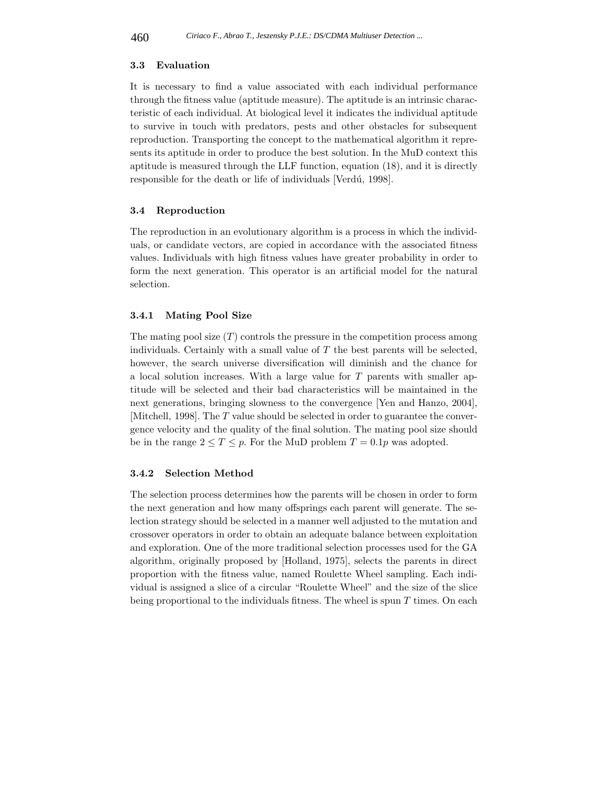#### **3.3 Evaluation**

It is necessary to find a value associated with each individual performance through the fitness value (aptitude measure). The aptitude is an intrinsic characteristic of each individual. At biological level it indicates the individual aptitude to survive in touch with predators, pests and other obstacles for subsequent reproduction. Transporting the concept to the mathematical algorithm it represents its aptitude in order to produce the best solution. In the MuD context this aptitude is measured through the LLF function, equation (18), and it is directly responsible for the death or life of individuals [Verdú, 1998].

#### **3.4 Reproduction**

The reproduction in an evolutionary algorithm is a process in which the individuals, or candidate vectors, are copied in accordance with the associated fitness values. Individuals with high fitness values have greater probability in order to form the next generation. This operator is an artificial model for the natural selection.

### **3.4.1 Mating Pool Size**

The mating pool size  $(T)$  controls the pressure in the competition process among individuals. Certainly with a small value of  $T$  the best parents will be selected, however, the search universe diversification will diminish and the chance for a local solution increases. With a large value for T parents with smaller aptitude will be selected and their bad characteristics will be maintained in the next generations, bringing slowness to the convergence [Yen and Hanzo, 2004], [Mitchell, 1998]. The T value should be selected in order to guarantee the convergence velocity and the quality of the final solution. The mating pool size should be in the range  $2 \le T \le p$ . For the MuD problem  $T = 0.1p$  was adopted.

### **3.4.2 Selection Method**

The selection process determines how the parents will be chosen in order to form the next generation and how many offsprings each parent will generate. The selection strategy should be selected in a manner well adjusted to the mutation and crossover operators in order to obtain an adequate balance between exploitation and exploration. One of the more traditional selection processes used for the GA algorithm, originally proposed by [Holland, 1975], selects the parents in direct proportion with the fitness value, named Roulette Wheel sampling. Each individual is assigned a slice of a circular "Roulette Wheel" and the size of the slice being proportional to the individuals fitness. The wheel is spun  $T$  times. On each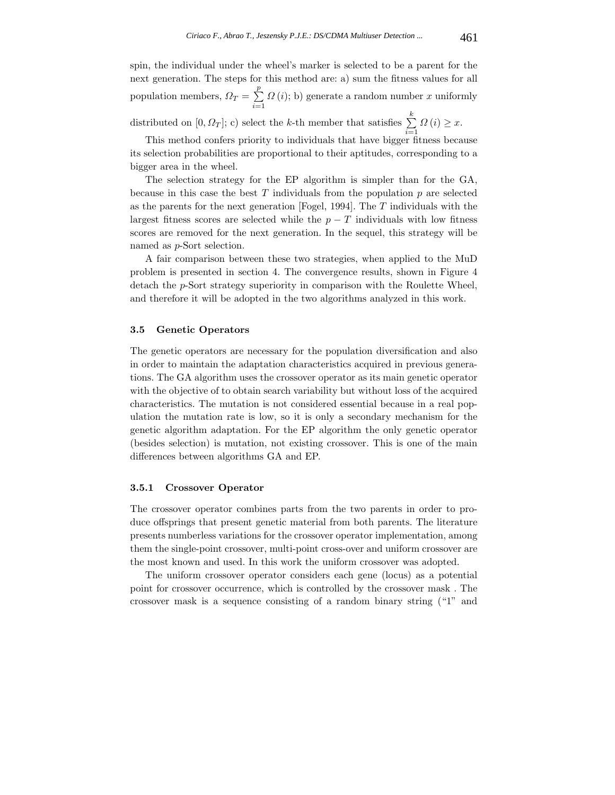spin, the individual under the wheel's marker is selected to be a parent for the next generation. The steps for this method are: a) sum the fitness values for all population members,  $\Omega_T = \sum_{i=1}^p$  $\Omega(i)$ ; b) generate a random number x uniformly distributed on  $[0, \Omega_T]$ ; c) select the k-th member that satisfies  $\sum_{k=1}^{k}$  $\sum_{i=1} \Omega(i) \geq x.$ 

This method confers priority to individuals that have bigger fitness because its selection probabilities are proportional to their aptitudes, corresponding to a bigger area in the wheel.

The selection strategy for the EP algorithm is simpler than for the GA, because in this case the best  $T$  individuals from the population  $p$  are selected as the parents for the next generation [Fogel, 1994]. The T individuals with the largest fitness scores are selected while the  $p - T$  individuals with low fitness scores are removed for the next generation. In the sequel, this strategy will be named as p-Sort selection.

A fair comparison between these two strategies, when applied to the MuD problem is presented in section 4. The convergence results, shown in Figure 4 detach the p-Sort strategy superiority in comparison with the Roulette Wheel, and therefore it will be adopted in the two algorithms analyzed in this work.

## **3.5 Genetic Operators**

The genetic operators are necessary for the population diversification and also in order to maintain the adaptation characteristics acquired in previous generations. The GA algorithm uses the crossover operator as its main genetic operator with the objective of to obtain search variability but without loss of the acquired characteristics. The mutation is not considered essential because in a real population the mutation rate is low, so it is only a secondary mechanism for the genetic algorithm adaptation. For the EP algorithm the only genetic operator (besides selection) is mutation, not existing crossover. This is one of the main differences between algorithms GA and EP.

#### **3.5.1 Crossover Operator**

The crossover operator combines parts from the two parents in order to produce offsprings that present genetic material from both parents. The literature presents numberless variations for the crossover operator implementation, among them the single-point crossover, multi-point cross-over and uniform crossover are the most known and used. In this work the uniform crossover was adopted.

The uniform crossover operator considers each gene (locus) as a potential point for crossover occurrence, which is controlled by the crossover mask . The crossover mask is a sequence consisting of a random binary string ("1" and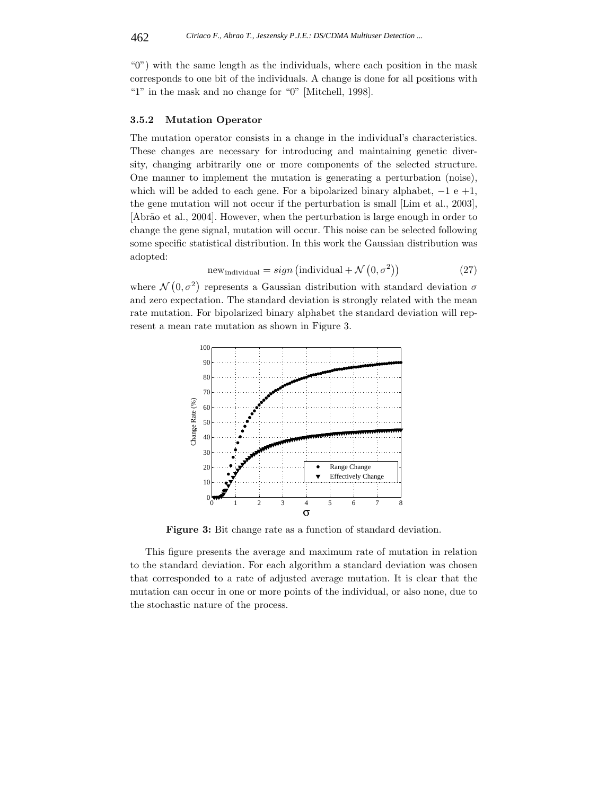"0") with the same length as the individuals, where each position in the mask corresponds to one bit of the individuals. A change is done for all positions with "1" in the mask and no change for "0" [Mitchell, 1998].

#### **3.5.2 Mutation Operator**

The mutation operator consists in a change in the individual's characteristics. These changes are necessary for introducing and maintaining genetic diversity, changing arbitrarily one or more components of the selected structure. One manner to implement the mutation is generating a perturbation (noise), which will be added to each gene. For a bipolarized binary alphabet,  $-1 e +1$ , the gene mutation will not occur if the perturbation is small [Lim et al., 2003], [Abr˜ao et al., 2004]. However, when the perturbation is large enough in order to change the gene signal, mutation will occur. This noise can be selected following some specific statistical distribution. In this work the Gaussian distribution was adopted:

$$
new_{individual} = sign (individual + \mathcal{N}(0, \sigma^2))
$$
\n(27)

where  $\mathcal{N}(0, \sigma^2)$  represents a Gaussian distribution with standard deviation  $\sigma$ and zero expectation. The standard deviation is strongly related with the mean rate mutation. For bipolarized binary alphabet the standard deviation will represent a mean rate mutation as shown in Figure 3.



**Figure 3:** Bit change rate as a function of standard deviation.

This figure presents the average and maximum rate of mutation in relation to the standard deviation. For each algorithm a standard deviation was chosen that corresponded to a rate of adjusted average mutation. It is clear that the mutation can occur in one or more points of the individual, or also none, due to the stochastic nature of the process.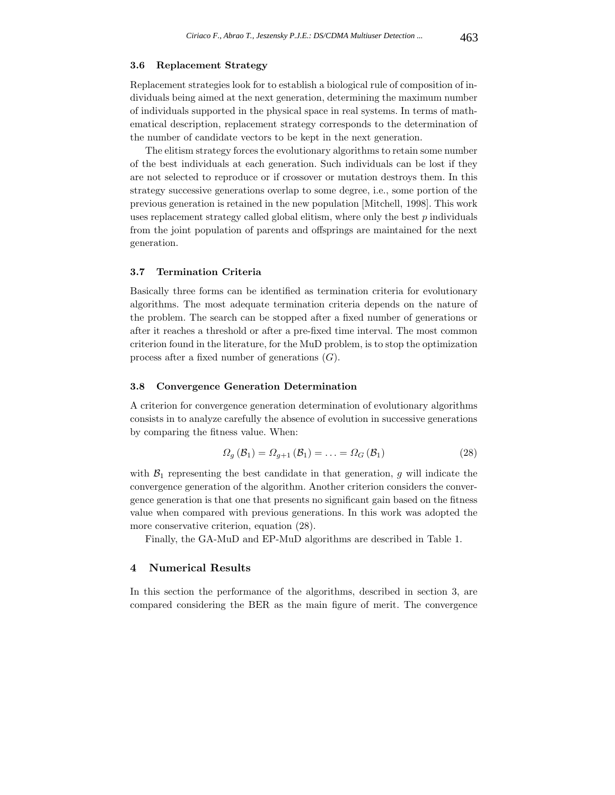## **3.6 Replacement Strategy**

Replacement strategies look for to establish a biological rule of composition of individuals being aimed at the next generation, determining the maximum number of individuals supported in the physical space in real systems. In terms of mathematical description, replacement strategy corresponds to the determination of the number of candidate vectors to be kept in the next generation.

The elitism strategy forces the evolutionary algorithms to retain some number of the best individuals at each generation. Such individuals can be lost if they are not selected to reproduce or if crossover or mutation destroys them. In this strategy successive generations overlap to some degree, i.e., some portion of the previous generation is retained in the new population [Mitchell, 1998]. This work uses replacement strategy called global elitism, where only the best  $p$  individuals from the joint population of parents and offsprings are maintained for the next generation.

#### **3.7 Termination Criteria**

Basically three forms can be identified as termination criteria for evolutionary algorithms. The most adequate termination criteria depends on the nature of the problem. The search can be stopped after a fixed number of generations or after it reaches a threshold or after a pre-fixed time interval. The most common criterion found in the literature, for the MuD problem, is to stop the optimization process after a fixed number of generations  $(G)$ .

## **3.8 Convergence Generation Determination**

A criterion for convergence generation determination of evolutionary algorithms consists in to analyze carefully the absence of evolution in successive generations by comparing the fitness value. When:

$$
\Omega_g\left(\mathcal{B}_1\right) = \Omega_{g+1}\left(\mathcal{B}_1\right) = \ldots = \Omega_G\left(\mathcal{B}_1\right) \tag{28}
$$

with  $\mathcal{B}_1$  representing the best candidate in that generation, g will indicate the convergence generation of the algorithm. Another criterion considers the convergence generation is that one that presents no significant gain based on the fitness value when compared with previous generations. In this work was adopted the more conservative criterion, equation (28).

Finally, the GA-MuD and EP-MuD algorithms are described in Table 1.

# **4 Numerical Results**

In this section the performance of the algorithms, described in section 3, are compared considering the BER as the main figure of merit. The convergence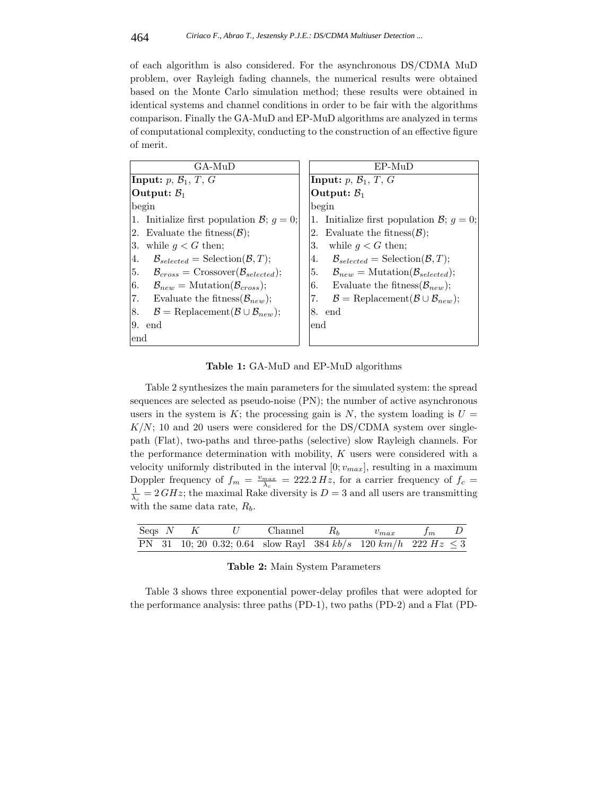of each algorithm is also considered. For the asynchronous DS/CDMA MuD problem, over Rayleigh fading channels, the numerical results were obtained based on the Monte Carlo simulation method; these results were obtained in identical systems and channel conditions in order to be fair with the algorithms comparison. Finally the GA-MuD and EP-MuD algorithms are analyzed in terms of computational complexity, conducting to the construction of an effective figure of merit.

| GA-MuD                                                                        | $EP-MuD$                                                                      |  |  |  |  |
|-------------------------------------------------------------------------------|-------------------------------------------------------------------------------|--|--|--|--|
| Input: $p, B_1, T, G$                                                         | Input: $p, B_1, T, G$                                                         |  |  |  |  |
| Output: $\mathcal{B}_1$                                                       | Output: $\mathcal{B}_1$                                                       |  |  |  |  |
| begin                                                                         | begin                                                                         |  |  |  |  |
| 1. Initialize first population $\mathcal{B}; g = 0;$                          | 1. Initialize first population $\mathcal{B}; g = 0;$                          |  |  |  |  |
| 2. Evaluate the fitness $(\mathcal{B})$ ;                                     | 2. Evaluate the fitness $(\mathcal{B})$ ;                                     |  |  |  |  |
| 3.<br>while $g < G$ then;                                                     | while $g < G$ then;<br>3.                                                     |  |  |  |  |
| 4.<br>$\mathcal{B}_{selected} = \text{Selection}(\mathcal{B}, T);$            | $\mathcal{B}_{selected} = \text{Selection}(\mathcal{B}, T);$<br>4.            |  |  |  |  |
| 5.<br>$\mathcal{B}_{cross}$ = Crossover( $\mathcal{B}_{selected}$ );          | 5. $\mathcal{B}_{new} = \text{Mutation}(\mathcal{B}_{selected});$             |  |  |  |  |
| 6.<br>$\mathcal{B}_{new} = \text{Mutation}(\mathcal{B}_{cross});$             | Evaluate the fitness $(\mathcal{B}_{new})$ ;<br>6.                            |  |  |  |  |
| 7.<br>Evaluate the fitness $(\mathcal{B}_{new})$ ;                            | 7.<br>$\mathcal{B} = \text{Replacement}(\mathcal{B} \cup \mathcal{B}_{new});$ |  |  |  |  |
| $\mathcal{B} = \text{Replacement}(\mathcal{B} \cup \mathcal{B}_{new});$<br>8. | 8. end                                                                        |  |  |  |  |
| 9.<br>end                                                                     | end                                                                           |  |  |  |  |
| end                                                                           |                                                                               |  |  |  |  |

**Table 1:** GA-MuD and EP-MuD algorithms

Table 2 synthesizes the main parameters for the simulated system: the spread sequences are selected as pseudo-noise (PN); the number of active asynchronous users in the system is K; the processing gain is N, the system loading is  $U =$  $K/N$ ; 10 and 20 users were considered for the DS/CDMA system over singlepath (Flat), two-paths and three-paths (selective) slow Rayleigh channels. For the performance determination with mobility,  $K$  users were considered with a velocity uniformly distributed in the interval  $[0; v_{max}]$ , resulting in a maximum Doppler frequency of  $f_m = \frac{v_{max}}{\lambda_c} = 222.2 \, Hz$ , for a carrier frequency of  $f_c = 1$  $\frac{1}{\lambda_c} = 2 \, GHz$ ; the maximal Rake diversity is  $D = 3$  and all users are transmitting with the same data rate,  $R_b$ .

|  |  |  | Seqs N K U Channel $R_b$ $v_{max}$ $f_m$ D                              |  |
|--|--|--|-------------------------------------------------------------------------|--|
|  |  |  | PN 31 10; 20 0.32; 0.64 slow Rayl 384 $kb/s$ 120 $km/h$ 222 $Hz \leq 3$ |  |

|  |  | Table 2: Main System Parameters |
|--|--|---------------------------------|

Table 3 shows three exponential power-delay profiles that were adopted for the performance analysis: three paths (PD-1), two paths (PD-2) and a Flat (PD-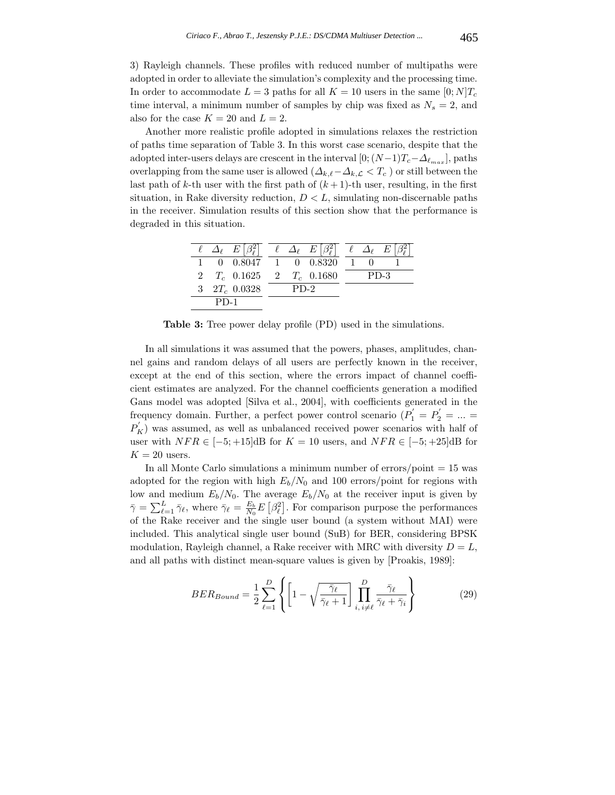3) Rayleigh channels. These profiles with reduced number of multipaths were adopted in order to alleviate the simulation's complexity and the processing time. In order to accommodate  $L = 3$  paths for all  $K = 10$  users in the same  $[0; N]T_c$ time interval, a minimum number of samples by chip was fixed as  $N_s = 2$ , and also for the case  $K = 20$  and  $L = 2$ .

Another more realistic profile adopted in simulations relaxes the restriction of paths time separation of Table 3. In this worst case scenario, despite that the adopted inter-users delays are crescent in the interval  $[0; (N-1)T_c-\Delta_{\ell_{max}}]$ , paths overlapping from the same user is allowed  $(\Delta_{k,\ell}-\Delta_{k,\mathcal{L}} < T_c$  ) or still between the last path of k-th user with the first path of  $(k+1)$ -th user, resulting, in the first situation, in Rake diversity reduction,  $D < L$ , simulating non-discernable paths in the receiver. Simulation results of this section show that the performance is degraded in this situation.

| $\ell \Delta_{\ell} E \beta_{\ell}^2 $<br>$\Delta_{\ell}$ $E \beta_{\ell}^2 $<br>$\ell \Delta_{\ell} E$<br>$0$ $0.8047$ 1 $0$ $0.8320$ |  |
|----------------------------------------------------------------------------------------------------------------------------------------|--|
|                                                                                                                                        |  |
|                                                                                                                                        |  |
| 2 $T_c$ 0.1625 2 $T_c$ 0.1680<br>$PD-3$                                                                                                |  |
| 3 $2T_c$ 0.0328<br>$PD-2$                                                                                                              |  |
| $PD-1$                                                                                                                                 |  |

**Table 3:** Tree power delay profile (PD) used in the simulations.

In all simulations it was assumed that the powers, phases, amplitudes, channel gains and random delays of all users are perfectly known in the receiver, except at the end of this section, where the errors impact of channel coefficient estimates are analyzed. For the channel coefficients generation a modified Gans model was adopted [Silva et al., 2004], with coefficients generated in the frequency domain. Further, a perfect power control scenario  $(P'_1 = P'_2 = ... =$  $P_{K}^{'}$ ) was assumed, as well as unbalanced received power scenarios with half of user with  $NFR \in [-5; +15]$ dB for  $K = 10$  users, and  $NFR \in [-5; +25]$ dB for  $K = 20$  users.

In all Monte Carlo simulations a minimum number of  $\frac{\text{error}}{\text{point}} = 15$  was adopted for the region with high  $E_b/N_0$  and 100 errors/point for regions with low and medium  $E_b/N_0$ . The average  $E_b/N_0$  at the receiver input is given by  $\bar{\gamma} = \sum_{\ell=1}^{L} \bar{\gamma}_{\ell}$ , where  $\bar{\gamma}_{\ell} = \frac{E_b}{N_0} E\left[\beta_{\ell}^2\right]$ . For comparison purpose the performances of the Rake receiver and the single user bound (a system without MAI) were included. This analytical single user bound (SuB) for BER, considering BPSK modulation, Rayleigh channel, a Rake receiver with MRC with diversity  $D = L$ , and all paths with distinct mean-square values is given by [Proakis, 1989]:

$$
BER_{Bound} = \frac{1}{2} \sum_{\ell=1}^{D} \left\{ \left[ 1 - \sqrt{\frac{\bar{\gamma}_{\ell}}{\bar{\gamma}_{\ell} + 1}} \right] \prod_{i, i \neq \ell}^{D} \frac{\bar{\gamma}_{\ell}}{\bar{\gamma}_{\ell} + \bar{\gamma}_{i}} \right\} \tag{29}
$$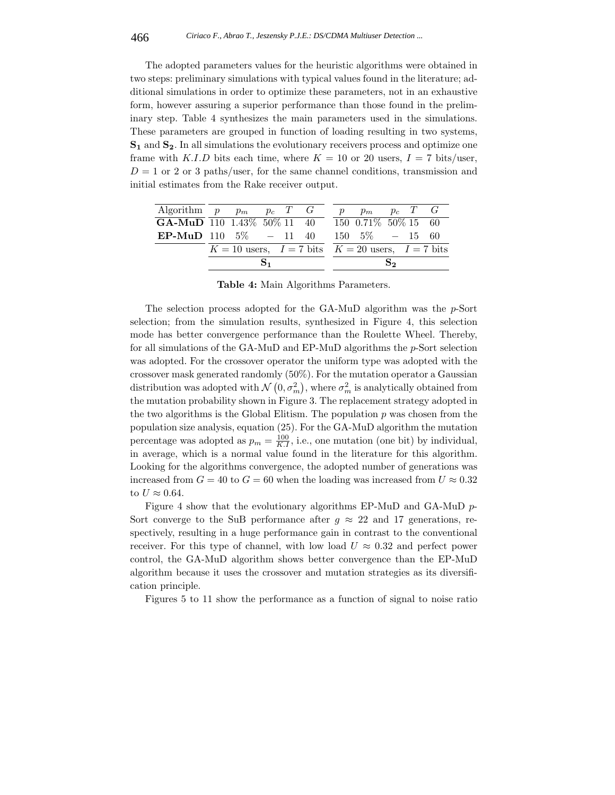The adopted parameters values for the heuristic algorithms were obtained in two steps: preliminary simulations with typical values found in the literature; additional simulations in order to optimize these parameters, not in an exhaustive form, however assuring a superior performance than those found in the preliminary step. Table 4 synthesizes the main parameters used in the simulations. These parameters are grouped in function of loading resulting in two systems, **S<sup>1</sup>** and **S2**. In all simulations the evolutionary receivers process and optimize one frame with K.I.D bits each time, where  $K = 10$  or 20 users,  $I = 7$  bits/user,  $D = 1$  or 2 or 3 paths/user, for the same channel conditions, transmission and initial estimates from the Rake receiver output.

| Algorithm $p$ $p_m$ $p_c$ $T$ $G$                  |                                                           |  |  |  |  | p | $p_m$ $p_c$ $T$ $G$                       |    |  |
|----------------------------------------------------|-----------------------------------------------------------|--|--|--|--|---|-------------------------------------------|----|--|
| GA-MuD 110 1.43\% 50\% 11 40 150 0.71\% 50\% 15 60 |                                                           |  |  |  |  |   |                                           |    |  |
| <b>EP-MuD</b> 110 5\% $-$ 11 40                    |                                                           |  |  |  |  |   | $150 \quad 5\% \quad - \quad 15 \quad 60$ |    |  |
|                                                    | $K = 10$ users, $I = 7$ bits $K = 20$ users, $I = 7$ bits |  |  |  |  |   |                                           |    |  |
|                                                    |                                                           |  |  |  |  |   |                                           | S, |  |

**Table 4:** Main Algorithms Parameters.

The selection process adopted for the GA-MuD algorithm was the p-Sort selection; from the simulation results, synthesized in Figure 4, this selection mode has better convergence performance than the Roulette Wheel. Thereby, for all simulations of the GA-MuD and EP-MuD algorithms the p-Sort selection was adopted. For the crossover operator the uniform type was adopted with the crossover mask generated randomly (50%). For the mutation operator a Gaussian distribution was adopted with  $\mathcal{N}(0, \sigma_m^2)$ , where  $\sigma_m^2$  is analytically obtained from the mutation probability shown in Figure 3. The replacement strategy adopted in the two algorithms is the Global Elitism. The population  $p$  was chosen from the population size analysis, equation (25). For the GA-MuD algorithm the mutation percentage was adopted as  $p_m = \frac{100}{K.I}$ , i.e., one mutation (one bit) by individual, in average, which is a normal value found in the literature for this algorithm. Looking for the algorithms convergence, the adopted number of generations was increased from  $G = 40$  to  $G = 60$  when the loading was increased from  $U \approx 0.32$ to  $U \approx 0.64$ .

Figure 4 show that the evolutionary algorithms EP-MuD and GA-MuD p-Sort converge to the SuB performance after  $g \approx 22$  and 17 generations, respectively, resulting in a huge performance gain in contrast to the conventional receiver. For this type of channel, with low load  $U \approx 0.32$  and perfect power control, the GA-MuD algorithm shows better convergence than the EP-MuD algorithm because it uses the crossover and mutation strategies as its diversification principle.

Figures 5 to 11 show the performance as a function of signal to noise ratio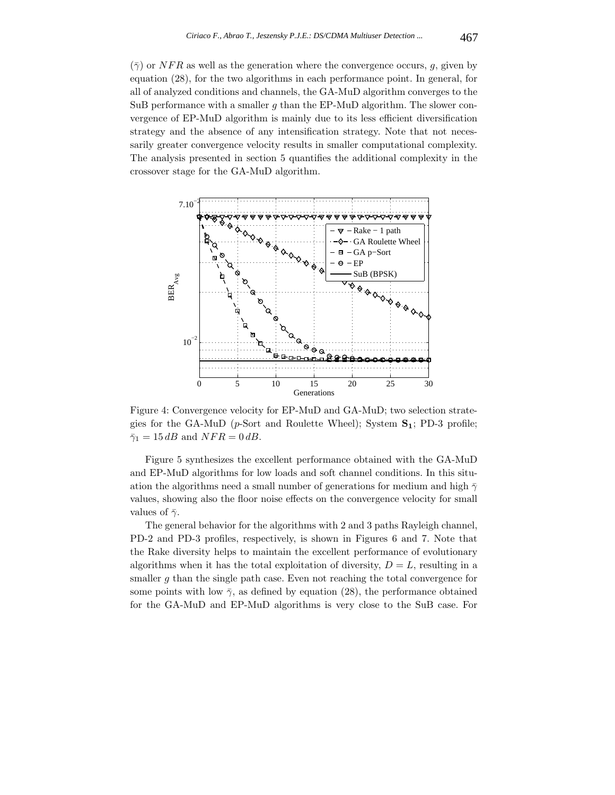$(\bar{\gamma})$  or NFR as well as the generation where the convergence occurs, g, given by equation (28), for the two algorithms in each performance point. In general, for all of analyzed conditions and channels, the GA-MuD algorithm converges to the SuB performance with a smaller  $g$  than the EP-MuD algorithm. The slower convergence of EP-MuD algorithm is mainly due to its less efficient diversification strategy and the absence of any intensification strategy. Note that not necessarily greater convergence velocity results in smaller computational complexity. The analysis presented in section 5 quantifies the additional complexity in the crossover stage for the GA-MuD algorithm.



Figure 4: Convergence velocity for EP-MuD and GA-MuD; two selection strategies for the GA-MuD (p-Sort and Roulette Wheel); System **S1**; PD-3 profile;  $\bar{\gamma}_1 = 15$  dB and  $NFR = 0$  dB.

Figure 5 synthesizes the excellent performance obtained with the GA-MuD and EP-MuD algorithms for low loads and soft channel conditions. In this situation the algorithms need a small number of generations for medium and high  $\bar{\gamma}$ values, showing also the floor noise effects on the convergence velocity for small values of  $\bar{\gamma}$ .

The general behavior for the algorithms with 2 and 3 paths Rayleigh channel, PD-2 and PD-3 profiles, respectively, is shown in Figures 6 and 7. Note that the Rake diversity helps to maintain the excellent performance of evolutionary algorithms when it has the total exploitation of diversity,  $D = L$ , resulting in a smaller  $g$  than the single path case. Even not reaching the total convergence for some points with low  $\bar{\gamma}$ , as defined by equation (28), the performance obtained for the GA-MuD and EP-MuD algorithms is very close to the SuB case. For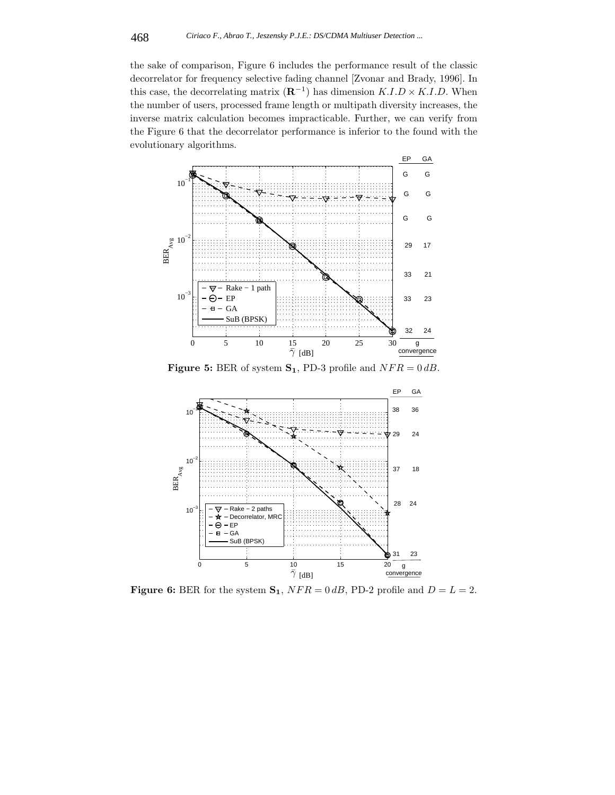the sake of comparison, Figure 6 includes the performance result of the classic decorrelator for frequency selective fading channel [Zvonar and Brady, 1996]. In this case, the decorrelating matrix  $(\mathbf{R}^{-1})$  has dimension  $K.I.D \times K.I.D$ . When the number of users, processed frame length or multipath diversity increases, the inverse matrix calculation becomes impracticable. Further, we can verify from the Figure 6 that the decorrelator performance is inferior to the found with the evolutionary algorithms.



**Figure 5:** BER of system  $S_1$ , PD-3 profile and  $NFR = 0$  dB.



**Figure 6:** BER for the system  $S_1$ ,  $NFR = 0$  dB, PD-2 profile and  $D = L = 2$ .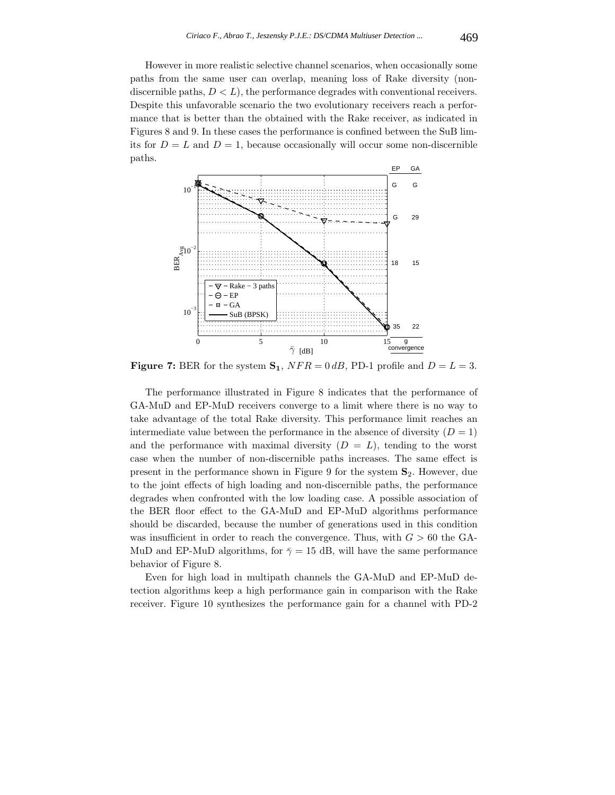However in more realistic selective channel scenarios, when occasionally some paths from the same user can overlap, meaning loss of Rake diversity (nondiscernible paths,  $D < L$ , the performance degrades with conventional receivers. Despite this unfavorable scenario the two evolutionary receivers reach a performance that is better than the obtained with the Rake receiver, as indicated in Figures 8 and 9. In these cases the performance is confined between the SuB limits for  $D = L$  and  $D = 1$ , because occasionally will occur some non-discernible paths.



**Figure 7:** BER for the system  $S_1$ ,  $NFR = 0$  dB, PD-1 profile and  $D = L = 3$ .

The performance illustrated in Figure 8 indicates that the performance of GA-MuD and EP-MuD receivers converge to a limit where there is no way to take advantage of the total Rake diversity. This performance limit reaches an intermediate value between the performance in the absence of diversity  $(D = 1)$ and the performance with maximal diversity  $(D = L)$ , tending to the worst case when the number of non-discernible paths increases. The same effect is present in the performance shown in Figure 9 for the system **S**2. However, due to the joint effects of high loading and non-discernible paths, the performance degrades when confronted with the low loading case. A possible association of the BER floor effect to the GA-MuD and EP-MuD algorithms performance should be discarded, because the number of generations used in this condition was insufficient in order to reach the convergence. Thus, with  $G > 60$  the GA-MuD and EP-MuD algorithms, for  $\bar{\gamma} = 15$  dB, will have the same performance behavior of Figure 8.

Even for high load in multipath channels the GA-MuD and EP-MuD detection algorithms keep a high performance gain in comparison with the Rake receiver. Figure 10 synthesizes the performance gain for a channel with PD-2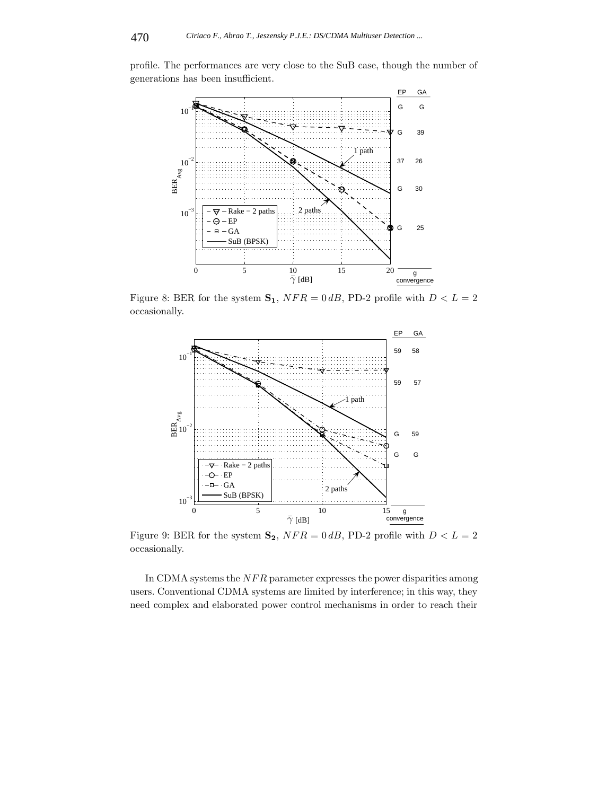profile. The performances are very close to the SuB case, though the number of generations has been insufficient.



Figure 8: BER for the system  $S_1$ ,  $NFR = 0$  dB, PD-2 profile with  $D < L = 2$ occasionally.



Figure 9: BER for the system  $S_2$ ,  $NFR = 0$  dB, PD-2 profile with  $D < L = 2$ occasionally.

In CDMA systems the  $NFR$  parameter expresses the power disparities among users. Conventional CDMA systems are limited by interference; in this way, they need complex and elaborated power control mechanisms in order to reach their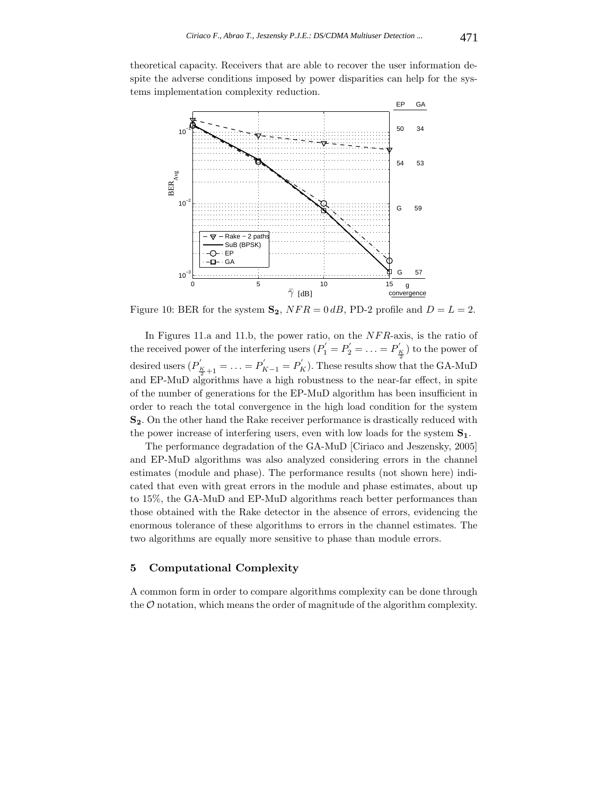theoretical capacity. Receivers that are able to recover the user information despite the adverse conditions imposed by power disparities can help for the systems implementation complexity reduction.



Figure 10: BER for the system  $S_2$ ,  $NFR = 0$  dB, PD-2 profile and  $D = L = 2$ .

In Figures 11.a and 11.b, the power ratio, on the NFR-axis, is the ratio of the received power of the interfering users  $(P_1^{'} = P_2^{'} = \ldots = P_K^{'} )$  to the power of desired users  $(P'_{\frac{K}{2}+1} = \ldots = P'_{K-1} = P'_{K})$ . These results show that the GA-MuD and EP-MuD algorithms have a high robustness to the near-far effect, in spite of the number of generations for the EP-MuD algorithm has been insufficient in order to reach the total convergence in the high load condition for the system **S2**. On the other hand the Rake receiver performance is drastically reduced with the power increase of interfering users, even with low loads for the system **S1**.

The performance degradation of the GA-MuD [Ciriaco and Jeszensky, 2005] and EP-MuD algorithms was also analyzed considering errors in the channel estimates (module and phase). The performance results (not shown here) indicated that even with great errors in the module and phase estimates, about up to 15%, the GA-MuD and EP-MuD algorithms reach better performances than those obtained with the Rake detector in the absence of errors, evidencing the enormous tolerance of these algorithms to errors in the channel estimates. The two algorithms are equally more sensitive to phase than module errors.

# **5 Computational Complexity**

A common form in order to compare algorithms complexity can be done through the  $\mathcal O$  notation, which means the order of magnitude of the algorithm complexity.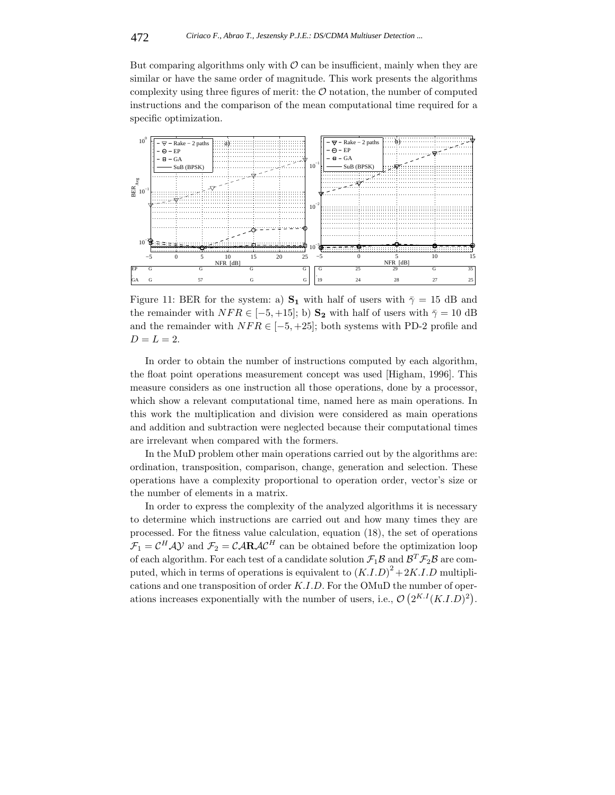But comparing algorithms only with  $\mathcal O$  can be insufficient, mainly when they are similar or have the same order of magnitude. This work presents the algorithms complexity using three figures of merit: the  $\mathcal O$  notation, the number of computed instructions and the comparison of the mean computational time required for a specific optimization.



Figure 11: BER for the system: a)  $S_1$  with half of users with  $\bar{\gamma} = 15$  dB and the remainder with  $NFR \in [-5, +15]$ ; b) **S<sub>2</sub>** with half of users with  $\bar{\gamma} = 10$  dB and the remainder with  $NFR \in [-5, +25]$ ; both systems with PD-2 profile and  $D = L = 2.$ 

In order to obtain the number of instructions computed by each algorithm, the float point operations measurement concept was used [Higham, 1996]. This measure considers as one instruction all those operations, done by a processor, which show a relevant computational time, named here as main operations. In this work the multiplication and division were considered as main operations and addition and subtraction were neglected because their computational times are irrelevant when compared with the formers.

In the MuD problem other main operations carried out by the algorithms are: ordination, transposition, comparison, change, generation and selection. These operations have a complexity proportional to operation order, vector's size or the number of elements in a matrix.

In order to express the complexity of the analyzed algorithms it is necessary to determine which instructions are carried out and how many times they are processed. For the fitness value calculation, equation (18), the set of operations  $\mathcal{F}_1 = \mathcal{C}^H \mathcal{A} \mathcal{Y}$  and  $\mathcal{F}_2 = \mathcal{C} \mathcal{A} \mathbf{R} \mathcal{A} \mathcal{C}^H$  can be obtained before the optimization loop of each algorithm. For each test of a candidate solution  $\mathcal{F}_1\mathcal{B}$  and  $\mathcal{B}^T\mathcal{F}_2\mathcal{B}$  are computed, which in terms of operations is equivalent to  $(K.I.D)^2 + 2K.I.D$  multiplications and one transposition of order K.I.D. For the OMuD the number of operations increases exponentially with the number of users, i.e.,  $\mathcal{O}\left(2^{K,I}(K,I,D)^2\right)$ .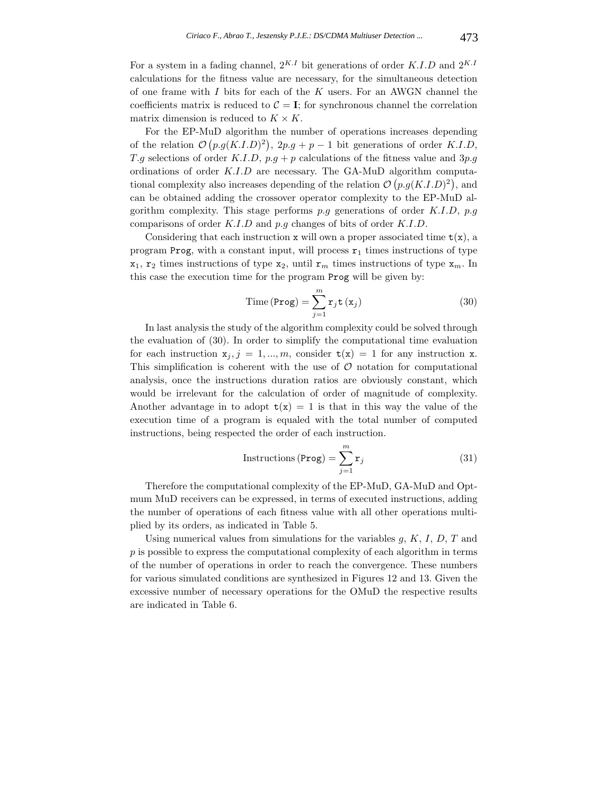For a system in a fading channel,  $2^{K,I}$  bit generations of order K.I.D and  $2^{K,I}$ calculations for the fitness value are necessary, for the simultaneous detection of one frame with  $I$  bits for each of the  $K$  users. For an AWGN channel the coefficients matrix is reduced to  $C = I$ ; for synchronous channel the correlation matrix dimension is reduced to  $K \times K$ .

For the EP-MuD algorithm the number of operations increases depending of the relation  $\mathcal{O}(p.g(K.I.D)^2)$ ,  $2p.g + p-1$  bit generations of order K.I.D, T.g selections of order K.I.D,  $p.g + p$  calculations of the fitness value and  $3p.g$ ordinations of order K.I.D are necessary. The GA-MuD algorithm computational complexity also increases depending of the relation  $\mathcal{O}(p.g(K.D)^2)$ , and can be obtained adding the crossover operator complexity to the EP-MuD algorithm complexity. This stage performs  $p,q$  generations of order  $K.I.D. p.q$ comparisons of order K.I.D and p.g changes of bits of order K.I.D.

Considering that each instruction x will own a proper associated time  $t(x)$ , a program Prog, with a constant input, will process  $r_1$  times instructions of type  $x_1$ ,  $r_2$  times instructions of type  $x_2$ , until  $r_m$  times instructions of type  $x_m$ . In this case the execution time for the program Prog will be given by:

$$
\text{Time (Prog)} = \sum_{j=1}^{m} \mathbf{r}_j \mathbf{t} \left( \mathbf{x}_j \right) \tag{30}
$$

In last analysis the study of the algorithm complexity could be solved through the evaluation of (30). In order to simplify the computational time evaluation for each instruction  $x_j$ ,  $j = 1, ..., m$ , consider  $t(x) = 1$  for any instruction x. This simplification is coherent with the use of  $O$  notation for computational analysis, once the instructions duration ratios are obviously constant, which would be irrelevant for the calculation of order of magnitude of complexity. Another advantage in to adopt  $t(x) = 1$  is that in this way the value of the execution time of a program is equaled with the total number of computed instructions, being respected the order of each instruction.

$$
Instructions (Prog) = \sum_{j=1}^{m} r_j
$$
\n(31)

Therefore the computational complexity of the EP-MuD, GA-MuD and Optmum MuD receivers can be expressed, in terms of executed instructions, adding the number of operations of each fitness value with all other operations multiplied by its orders, as indicated in Table 5.

Using numerical values from simulations for the variables  $g, K, I, D, T$  and  $p$  is possible to express the computational complexity of each algorithm in terms of the number of operations in order to reach the convergence. These numbers for various simulated conditions are synthesized in Figures 12 and 13. Given the excessive number of necessary operations for the OMuD the respective results are indicated in Table 6.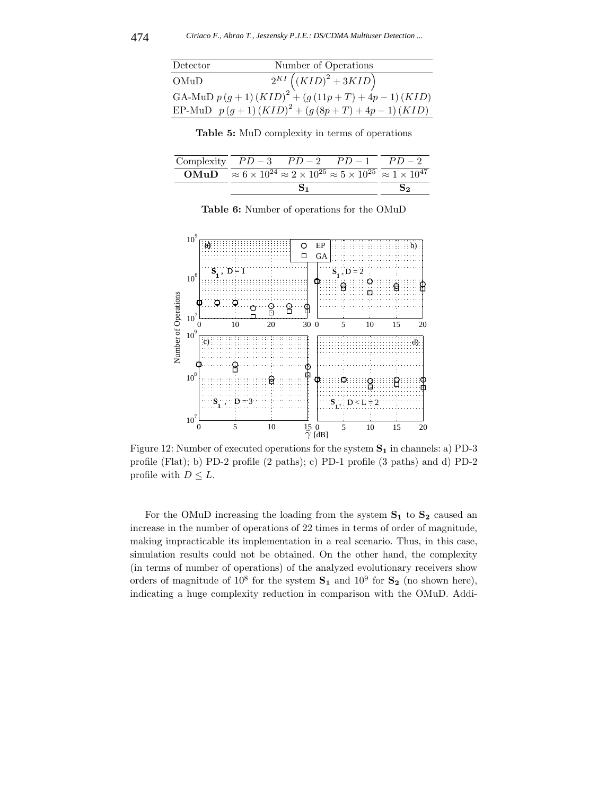| Detector | Number of Operations                                      |
|----------|-----------------------------------------------------------|
| OMuD     | $2^{KI} ((KID)^2 + 3KID)$                                 |
|          | GA-MuD $p(g + 1) (KID)^{2} + (g(11p + T) + 4p - 1) (KID)$ |
|          | EP-MuD $p(g+1) (KID)^{2} + (g (8p+T) + 4p-1) (KID)$       |

**Table 5:** MuD complexity in terms of operations

| Complexity $PD-3$ $PD-2$ $PD-1$ |                                                                                                                              |  | $PD-2$ |
|---------------------------------|------------------------------------------------------------------------------------------------------------------------------|--|--------|
|                                 | $\overline{\text{OMuD}} \approx 6 \times 10^{24} \approx 2 \times 10^{25} \approx 5 \times 10^{25} \approx 1 \times 10^{47}$ |  |        |
|                                 |                                                                                                                              |  |        |

| <b>Table 6:</b> Number of operations for the OMuD |  |  |  |  |  |
|---------------------------------------------------|--|--|--|--|--|
|---------------------------------------------------|--|--|--|--|--|



Figure 12: Number of executed operations for the system **S<sup>1</sup>** in channels: a) PD-3 profile (Flat); b) PD-2 profile (2 paths); c) PD-1 profile (3 paths) and d) PD-2 profile with  $D \leq L$ .

For the OMuD increasing the loading from the system **S<sup>1</sup>** to **S<sup>2</sup>** caused an increase in the number of operations of 22 times in terms of order of magnitude, making impracticable its implementation in a real scenario. Thus, in this case, simulation results could not be obtained. On the other hand, the complexity (in terms of number of operations) of the analyzed evolutionary receivers show orders of magnitude of  $10^8$  for the system  $S_1$  and  $10^9$  for  $S_2$  (no shown here), indicating a huge complexity reduction in comparison with the OMuD. Addi-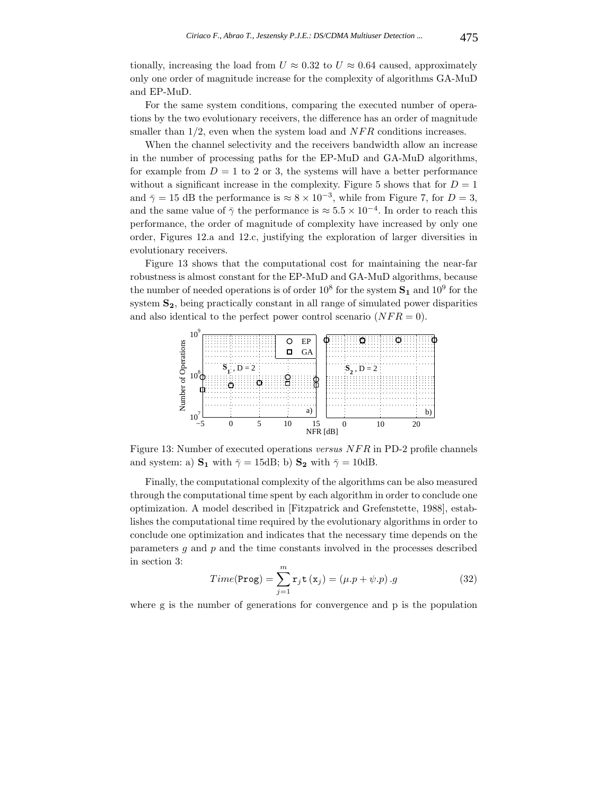tionally, increasing the load from  $U \approx 0.32$  to  $U \approx 0.64$  caused, approximately only one order of magnitude increase for the complexity of algorithms GA-MuD and EP-MuD.

For the same system conditions, comparing the executed number of operations by the two evolutionary receivers, the difference has an order of magnitude smaller than  $1/2$ , even when the system load and  $NFR$  conditions increases.

When the channel selectivity and the receivers bandwidth allow an increase in the number of processing paths for the EP-MuD and GA-MuD algorithms, for example from  $D = 1$  to 2 or 3, the systems will have a better performance without a significant increase in the complexity. Figure 5 shows that for  $D = 1$ and  $\bar{\gamma} = 15$  dB the performance is  $\approx 8 \times 10^{-3}$ , while from Figure 7, for  $D = 3$ , and the same value of  $\bar{\gamma}$  the performance is  $\approx 5.5 \times 10^{-4}$ . In order to reach this performance, the order of magnitude of complexity have increased by only one order, Figures 12.a and 12.c, justifying the exploration of larger diversities in evolutionary receivers.

Figure 13 shows that the computational cost for maintaining the near-far robustness is almost constant for the EP-MuD and GA-MuD algorithms, because the number of needed operations is of order  $10^8$  for the system  $S_1$  and  $10^9$  for the system **S2**, being practically constant in all range of simulated power disparities and also identical to the perfect power control scenario  $(NFR = 0)$ .



Figure 13: Number of executed operations *versus* NFR in PD-2 profile channels and system: a)  $\mathbf{S}_1$  with  $\bar{\gamma} = 15dB$ ; b)  $\mathbf{S}_2$  with  $\bar{\gamma} = 10dB$ .

Finally, the computational complexity of the algorithms can be also measured through the computational time spent by each algorithm in order to conclude one optimization. A model described in [Fitzpatrick and Grefenstette, 1988], establishes the computational time required by the evolutionary algorithms in order to conclude one optimization and indicates that the necessary time depends on the parameters  $q$  and  $p$  and the time constants involved in the processes described in section 3:

$$
Time(\text{Prog}) = \sum_{j=1}^{m} \mathbf{r}_j \mathbf{t} (\mathbf{x}_j) = (\mu \cdot p + \psi \cdot p) \cdot g \tag{32}
$$

where g is the number of generations for convergence and p is the population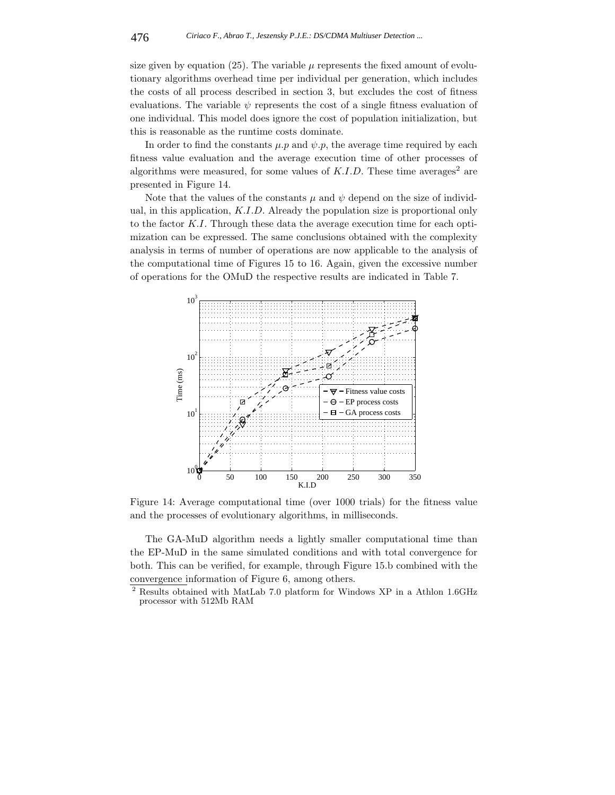size given by equation (25). The variable  $\mu$  represents the fixed amount of evolutionary algorithms overhead time per individual per generation, which includes the costs of all process described in section 3, but excludes the cost of fitness evaluations. The variable  $\psi$  represents the cost of a single fitness evaluation of one individual. This model does ignore the cost of population initialization, but this is reasonable as the runtime costs dominate.

In order to find the constants  $\mu$ .p and  $\psi$ .p, the average time required by each fitness value evaluation and the average execution time of other processes of algorithms were measured, for some values of  $K.I.D.$  These time averages<sup>2</sup> are presented in Figure 14.

Note that the values of the constants  $\mu$  and  $\psi$  depend on the size of individual, in this application, K.I.D. Already the population size is proportional only to the factor K.I. Through these data the average execution time for each optimization can be expressed. The same conclusions obtained with the complexity analysis in terms of number of operations are now applicable to the analysis of the computational time of Figures 15 to 16. Again, given the excessive number of operations for the OMuD the respective results are indicated in Table 7.



Figure 14: Average computational time (over 1000 trials) for the fitness value and the processes of evolutionary algorithms, in milliseconds.

The GA-MuD algorithm needs a lightly smaller computational time than the EP-MuD in the same simulated conditions and with total convergence for both. This can be verified, for example, through Figure 15.b combined with the convergence information of Figure 6, among others.

<sup>2</sup> Results obtained with MatLab 7.0 platform for Windows XP in a Athlon 1.6GHz processor with 512Mb RAM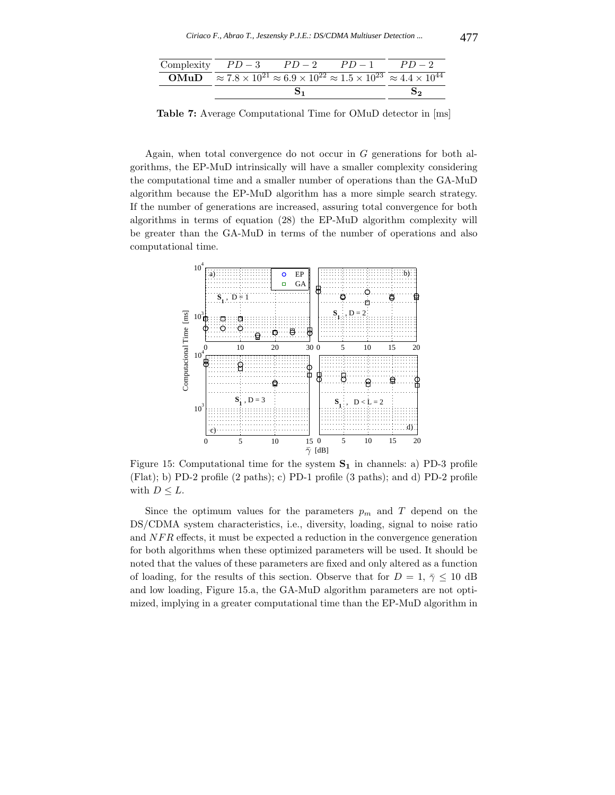| Complexity $PD-3$ $PD-2$ | $PD-1$                                                                                                                    | $PD-2$ |
|--------------------------|---------------------------------------------------------------------------------------------------------------------------|--------|
|                          | <b>OMuD</b> $\approx 7.8 \times 10^{21} \approx 6.9 \times 10^{22} \approx 1.5 \times 10^{23} \approx 4.4 \times 10^{44}$ |        |
|                          |                                                                                                                           |        |

**Table 7:** Average Computational Time for OMuD detector in [ms]

Again, when total convergence do not occur in G generations for both algorithms, the EP-MuD intrinsically will have a smaller complexity considering the computational time and a smaller number of operations than the GA-MuD algorithm because the EP-MuD algorithm has a more simple search strategy. If the number of generations are increased, assuring total convergence for both algorithms in terms of equation (28) the EP-MuD algorithm complexity will be greater than the GA-MuD in terms of the number of operations and also computational time.



Figure 15: Computational time for the system **S<sup>1</sup>** in channels: a) PD-3 profile (Flat); b) PD-2 profile (2 paths); c) PD-1 profile (3 paths); and d) PD-2 profile with  $D \leq L$ .

Since the optimum values for the parameters  $p_m$  and T depend on the DS/CDMA system characteristics, i.e., diversity, loading, signal to noise ratio and NFR effects, it must be expected a reduction in the convergence generation for both algorithms when these optimized parameters will be used. It should be noted that the values of these parameters are fixed and only altered as a function of loading, for the results of this section. Observe that for  $D = 1, \bar{\gamma} \leq 10$  dB and low loading, Figure 15.a, the GA-MuD algorithm parameters are not optimized, implying in a greater computational time than the EP-MuD algorithm in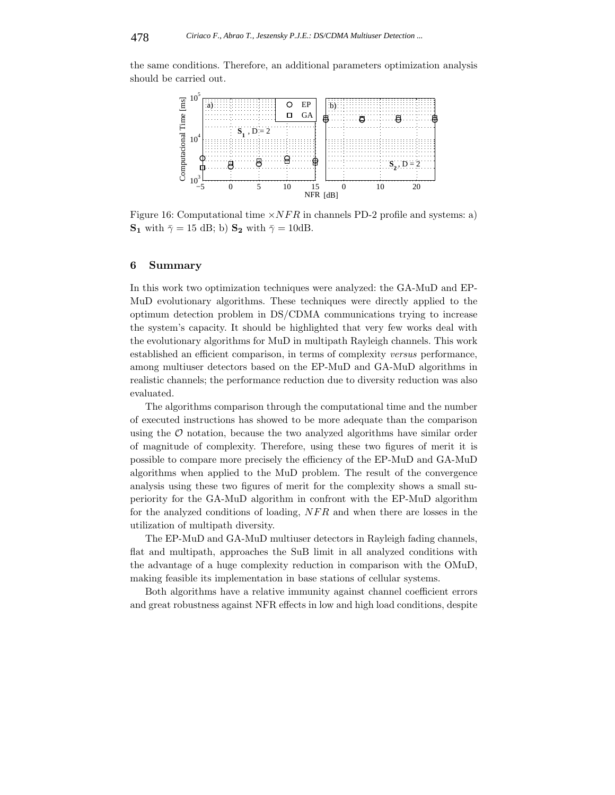the same conditions. Therefore, an additional parameters optimization analysis should be carried out.



Figure 16: Computational time  $\times NFR$  in channels PD-2 profile and systems: a) **S<sub>1</sub>** with  $\bar{\gamma} = 15$  dB; b) **S**<sub>2</sub> with  $\bar{\gamma} = 10$ dB.

# **6 Summary**

In this work two optimization techniques were analyzed: the GA-MuD and EP-MuD evolutionary algorithms. These techniques were directly applied to the optimum detection problem in DS/CDMA communications trying to increase the system's capacity. It should be highlighted that very few works deal with the evolutionary algorithms for MuD in multipath Rayleigh channels. This work established an efficient comparison, in terms of complexity *versus* performance, among multiuser detectors based on the EP-MuD and GA-MuD algorithms in realistic channels; the performance reduction due to diversity reduction was also evaluated.

The algorithms comparison through the computational time and the number of executed instructions has showed to be more adequate than the comparison using the  $\mathcal O$  notation, because the two analyzed algorithms have similar order of magnitude of complexity. Therefore, using these two figures of merit it is possible to compare more precisely the efficiency of the EP-MuD and GA-MuD algorithms when applied to the MuD problem. The result of the convergence analysis using these two figures of merit for the complexity shows a small superiority for the GA-MuD algorithm in confront with the EP-MuD algorithm for the analyzed conditions of loading, NFR and when there are losses in the utilization of multipath diversity.

The EP-MuD and GA-MuD multiuser detectors in Rayleigh fading channels, flat and multipath, approaches the SuB limit in all analyzed conditions with the advantage of a huge complexity reduction in comparison with the OMuD, making feasible its implementation in base stations of cellular systems.

Both algorithms have a relative immunity against channel coefficient errors and great robustness against NFR effects in low and high load conditions, despite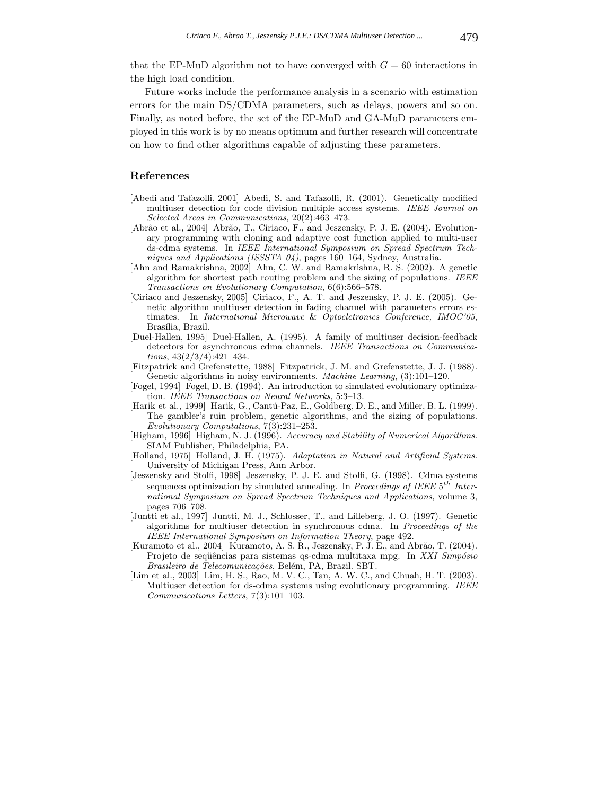that the EP-MuD algorithm not to have converged with  $G = 60$  interactions in the high load condition.

Future works include the performance analysis in a scenario with estimation errors for the main DS/CDMA parameters, such as delays, powers and so on. Finally, as noted before, the set of the EP-MuD and GA-MuD parameters employed in this work is by no means optimum and further research will concentrate on how to find other algorithms capable of adjusting these parameters.

## **References**

- [Abedi and Tafazolli, 2001] Abedi, S. and Tafazolli, R. (2001). Genetically modified multiuser detection for code division multiple access systems. *IEEE Journal on Selected Areas in Communications*, 20(2):463–473.
- [Abrão et al., 2004] Abrão, T., Ciriaco, F., and Jeszensky, P. J. E. (2004). Evolutionary programming with cloning and adaptive cost function applied to multi-user ds-cdma systems. In *IEEE International Symposium on Spread Spectrum Techniques and Applications (ISSSTA 04)*, pages 160–164, Sydney, Australia.
- [Ahn and Ramakrishna, 2002] Ahn, C. W. and Ramakrishna, R. S. (2002). A genetic algorithm for shortest path routing problem and the sizing of populations. *IEEE Transactions on Evolutionary Computation*, 6(6):566–578.
- [Ciriaco and Jeszensky, 2005] Ciriaco, F., A. T. and Jeszensky, P. J. E. (2005). Genetic algorithm multiuser detection in fading channel with parameters errors estimates. In *International Microwave* & *Optoeletronics Conference, IMOC'05*, Brasília, Brazil.
- [Duel-Hallen, 1995] Duel-Hallen, A. (1995). A family of multiuser decision-feedback detectors for asynchronous cdma channels. *IEEE Transactions on Communications*, 43(2/3/4):421–434.
- [Fitzpatrick and Grefenstette, 1988] Fitzpatrick, J. M. and Grefenstette, J. J. (1988). Genetic algorithms in noisy environments. *Machine Learning*, (3):101–120.
- [Fogel, 1994] Fogel, D. B. (1994). An introduction to simulated evolutionary optimization. *IEEE Transactions on Neural Networks*, 5:3–13.
- [Harik et al., 1999] Harik, G., Cantú-Paz, E., Goldberg, D. E., and Miller, B. L. (1999). The gambler's ruin problem, genetic algorithms, and the sizing of populations. *Evolutionary Computations*, 7(3):231–253.
- [Higham, 1996] Higham, N. J. (1996). *Accuracy and Stability of Numerical Algorithms*. SIAM Publisher, Philadelphia, PA.
- [Holland, 1975] Holland, J. H. (1975). *Adaptation in Natural and Artificial Systems*. University of Michigan Press, Ann Arbor.
- [Jeszensky and Stolfi, 1998] Jeszensky, P. J. E. and Stolfi, G. (1998). Cdma systems sequences optimization by simulated annealing. In *Proceedings of IEEE* 5*th International Symposium on Spread Spectrum Techniques and Applications*, volume 3, pages 706–708.
- [Juntti et al., 1997] Juntti, M. J., Schlosser, T., and Lilleberg, J. O. (1997). Genetic algorithms for multiuser detection in synchronous cdma. In *Proceedings of the IEEE International Symposium on Information Theory*, page 492.
- [Kuramoto et al., 2004] Kuramoto, A. S. R., Jeszensky, P. J. E., and Abrão, T. (2004). Projeto de sequências para sistemas qs-cdma multitaxa mpg. In *XXI Simpósio Brasileiro de Telecomunica¸c˜oes*, Bel´em, PA, Brazil. SBT.
- [Lim et al., 2003] Lim, H. S., Rao, M. V. C., Tan, A. W. C., and Chuah, H. T. (2003). Multiuser detection for ds-cdma systems using evolutionary programming. *IEEE Communications Letters*, 7(3):101–103.